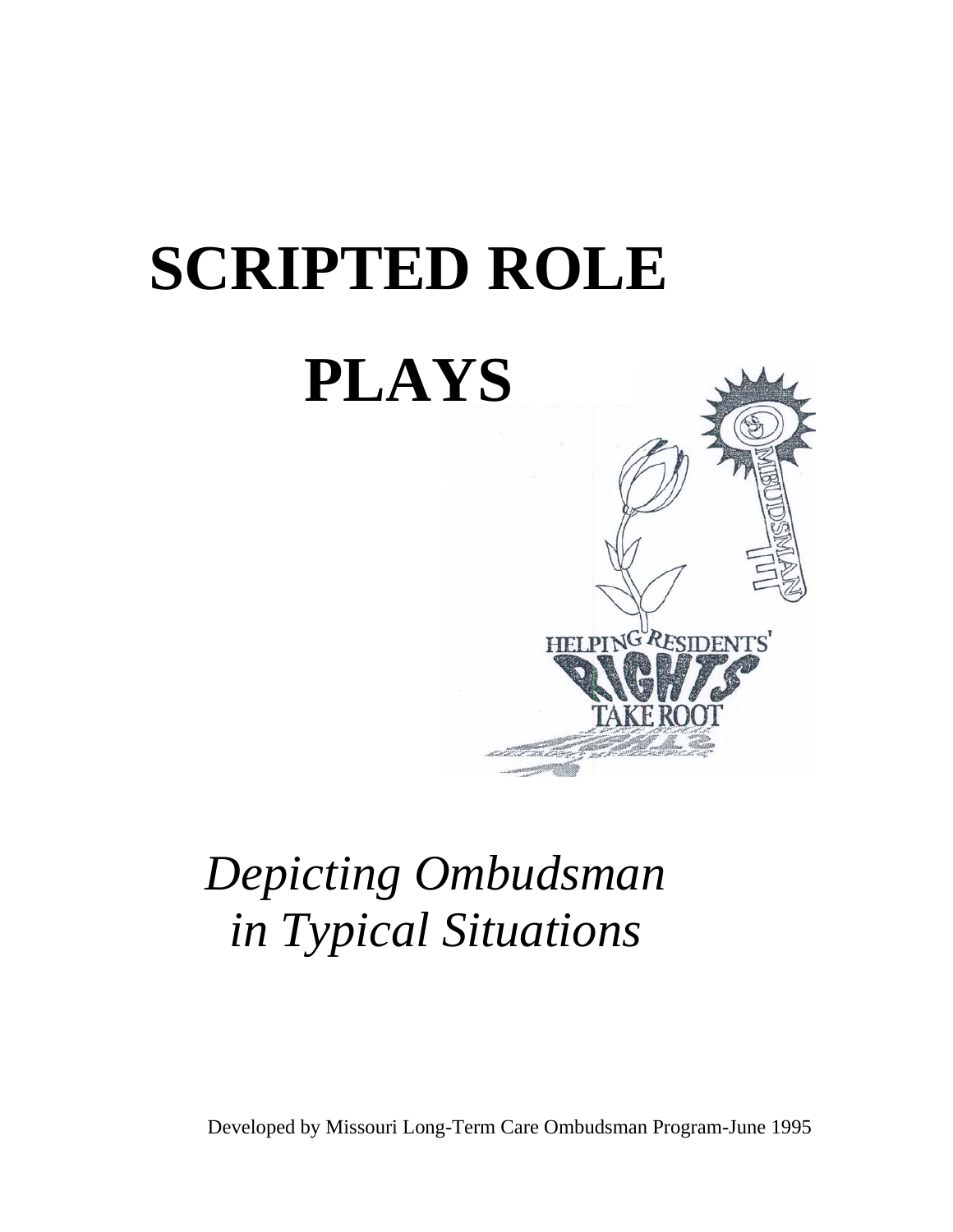

# *Depicting Ombudsman in Typical Situations*

Developed by Missouri Long-Term Care Ombudsman Program-June 1995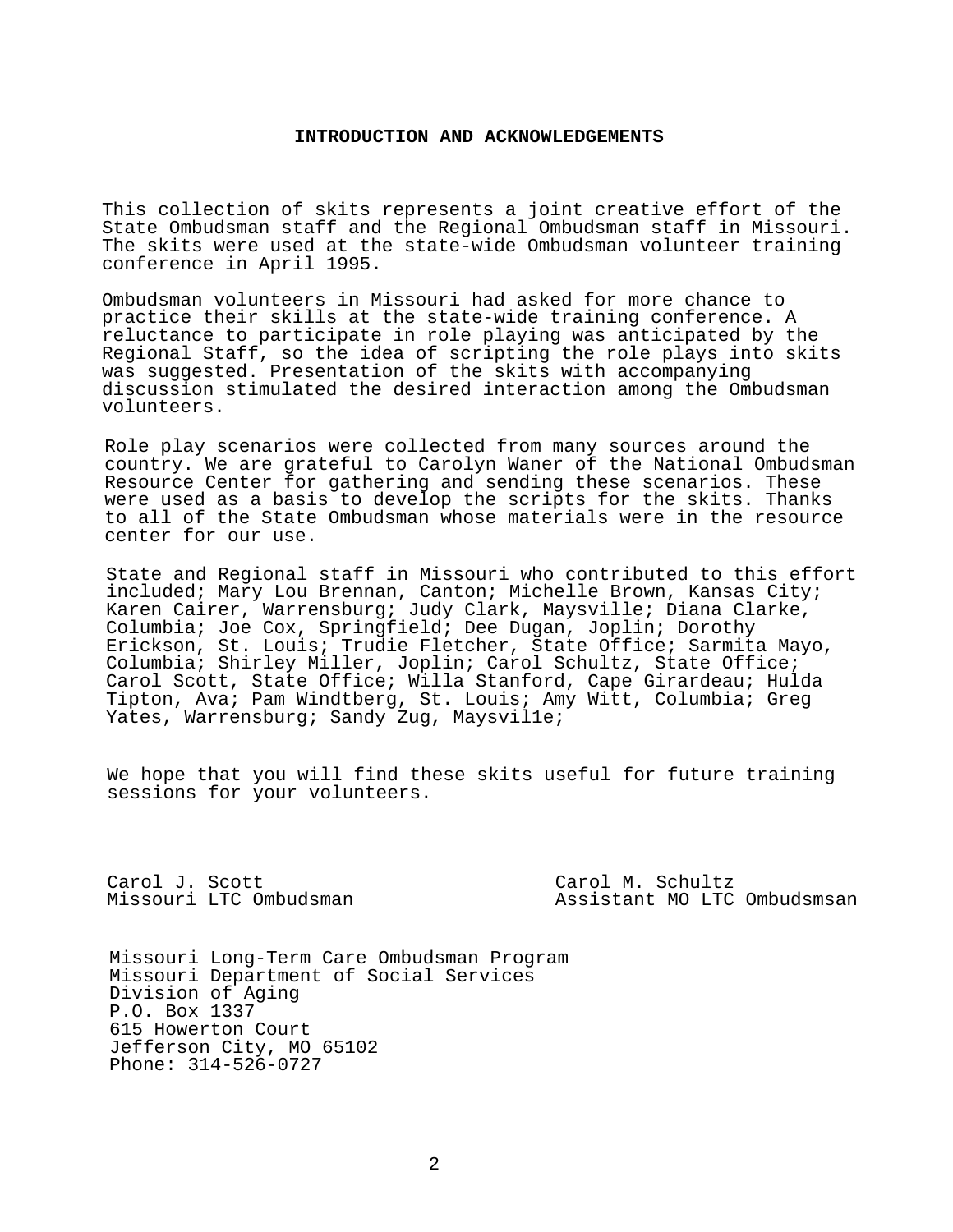## **INTRODUCTION AND ACKNOWLEDGEMENTS**

This collection of skits represents a joint creative effort of the State Ombudsman staff and the Regional Ombudsman staff in Missouri. The skits were used at the state-wide Ombudsman volunteer training conference in April 1995.

Ombudsman volunteers in Missouri had asked for more chance to practice their skills at the state-wide training conference. A reluctance to participate in role playing was anticipated by the Regional Staff, so the idea of scripting the role plays into skits was suggested. Presentation of the skits with accompanying discussion stimulated the desired interaction among the Ombudsman volunteers.

Role play scenarios were collected from many sources around the country. We are grateful to Carolyn Waner of the National Ombudsman Resource Center for gathering and sending these scenarios. These were used as a basis to develop the scripts for the skits. Thanks to all of the State Ombudsman whose materials were in the resource center for our use.

State and Regional staff in Missouri who contributed to this effort included; Mary Lou Brennan, Canton; Michelle Brown, Kansas City; Karen Cairer, Warrensburg; Judy Clark, Maysville; Diana Clarke, Columbia; Joe Cox, Springfield; Dee Dugan, Joplin; Dorothy Erickson, St. Louis; Trudie Fletcher, State Office; Sarmita Mayo, Columbia; Shirley Miller, Joplin; Carol Schultz, State Office; Carol Scott, State Office; Willa Stanford, Cape Girardeau; Hulda Tipton, Ava; Pam Windtberg, St. Louis; Amy Witt, Columbia; Greg Yates, Warrensburg; Sandy Zug, Maysvil1e;

We hope that you will find these skits useful for future training sessions for your volunteers.

Carol J. Scott Carol M. Schultz

Assistant MO LTC Ombudsmsan

Missouri Long-Term Care Ombudsman Program Missouri Department of Social Services Division of Aging P.O. Box 1337 615 Howerton Court Jefferson City, MO 65102 Phone: 314-526-0727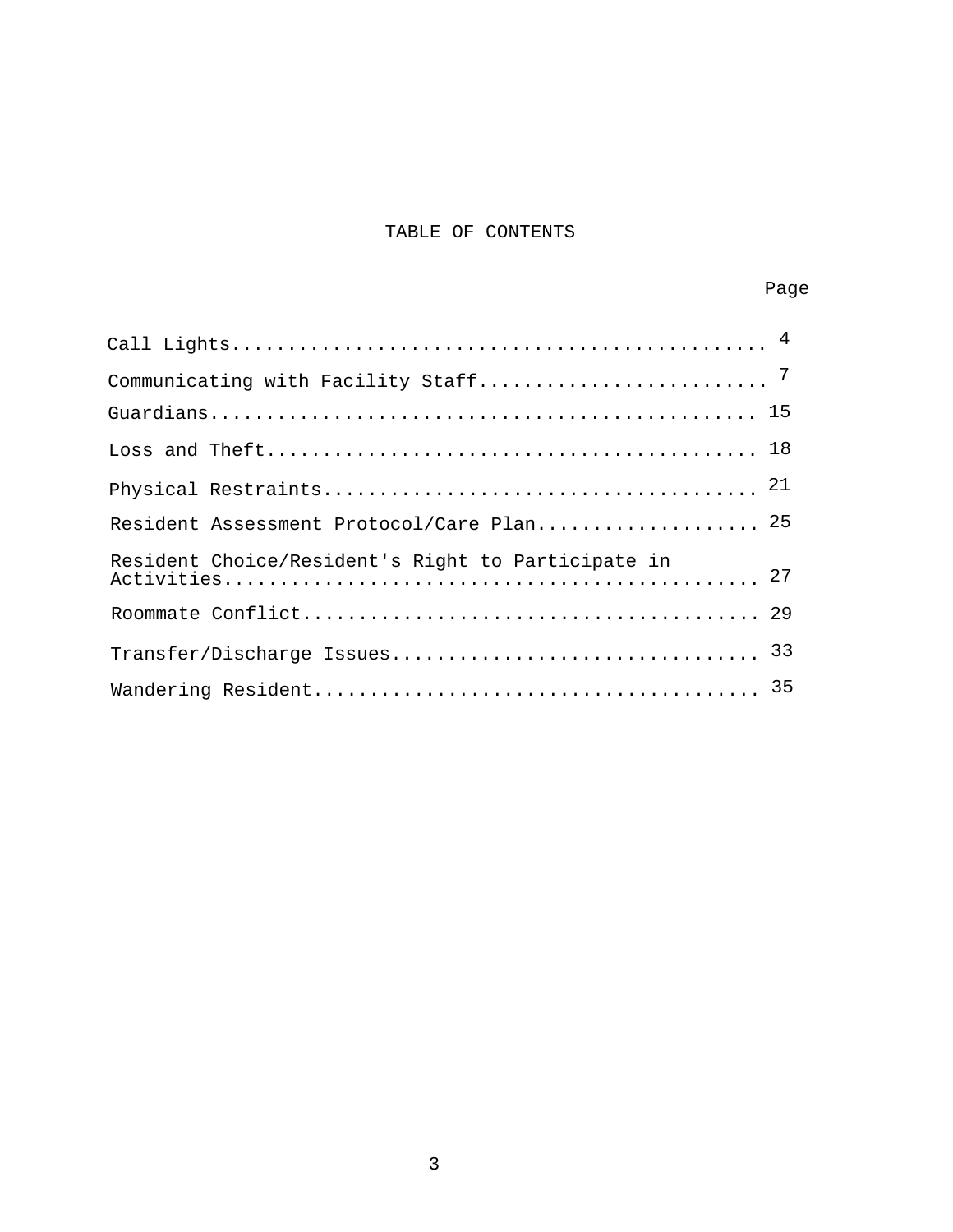# TABLE OF CONTENTS

| Resident Assessment Protocol/Care Plan 25          |  |
|----------------------------------------------------|--|
| Resident Choice/Resident's Right to Participate in |  |
|                                                    |  |
|                                                    |  |
|                                                    |  |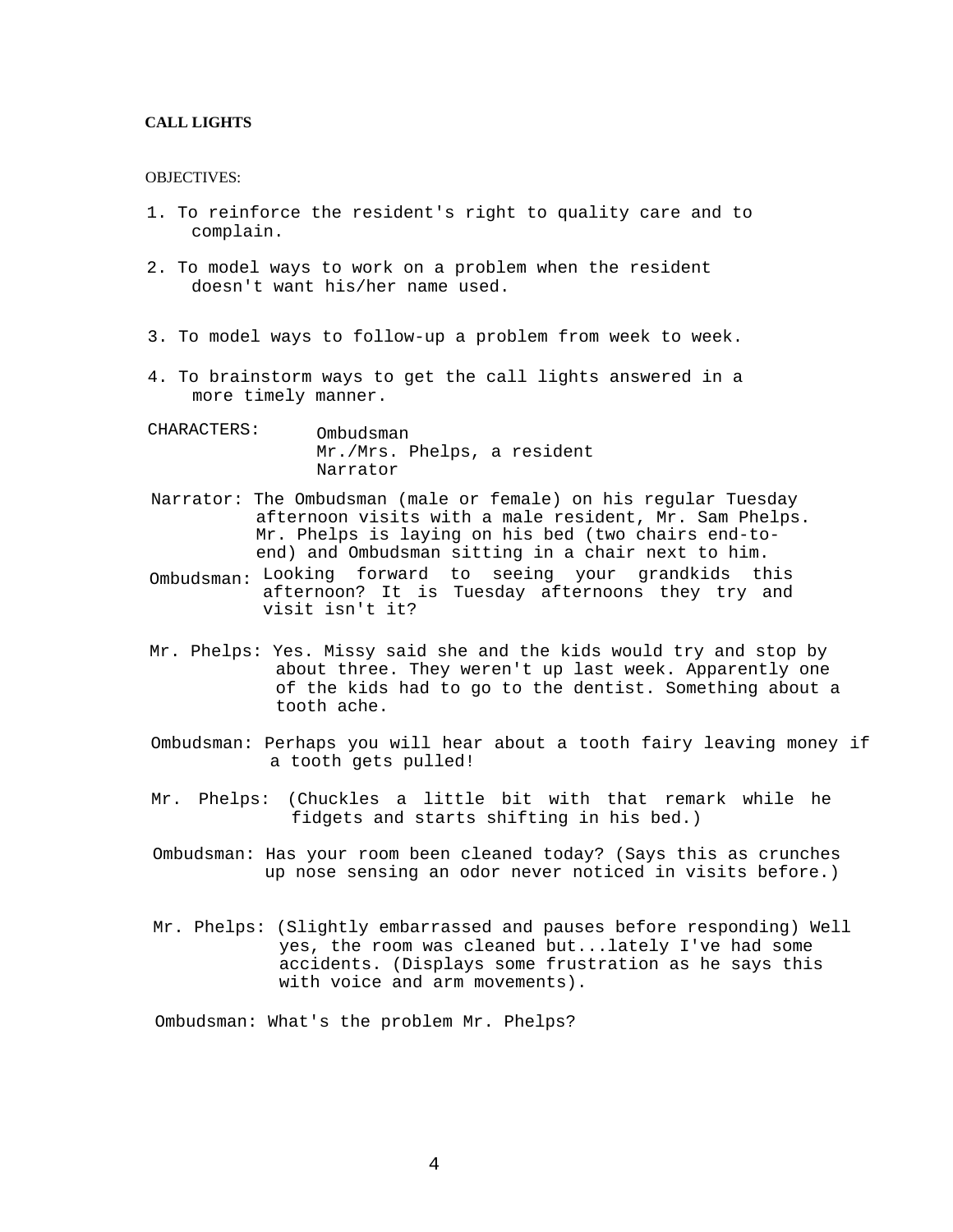## **CALL LIGHTS**

#### OBJECTIVES:

- 1. To reinforce the resident's right to quality care and to complain.
- 2. To model ways to work on a problem when the resident doesn't want his/her name used.
- 3. To model ways to follow-up a problem from week to week.
- 4. To brainstorm ways to get the call lights answered in a more timely manner.
- CHARACTERS: Ombudsman Mr./Mrs. Phelps, a resident Narrator
- Narrator: The Ombudsman (male or female) on his regular Tuesday afternoon visits with a male resident, Mr. Sam Phelps. Mr. Phelps is laying on his bed (two chairs end-toend) and Ombudsman sitting in a chair next to him.
- Ombudsman: Looking forward to seeing your grandkids this afternoon? It is Tuesday afternoons they try and visit isn't it?
- Mr. Phelps: Yes. Missy said she and the kids would try and stop by about three. They weren't up last week. Apparently one of the kids had to go to the dentist. Something about a tooth ache.
- Ombudsman: Perhaps you will hear about a tooth fairy leaving money if a tooth gets pulled!
- Mr. Phelps: (Chuckles a little bit with that remark while he fidgets and starts shifting in his bed.)
- Ombudsman: Has your room been cleaned today? (Says this as crunches up nose sensing an odor never noticed in visits before.)
- Mr. Phelps: (Slightly embarrassed and pauses before responding) Well yes, the room was cleaned but...lately I've had some accidents. (Displays some frustration as he says this with voice and arm movements).

Ombudsman: What's the problem Mr. Phelps?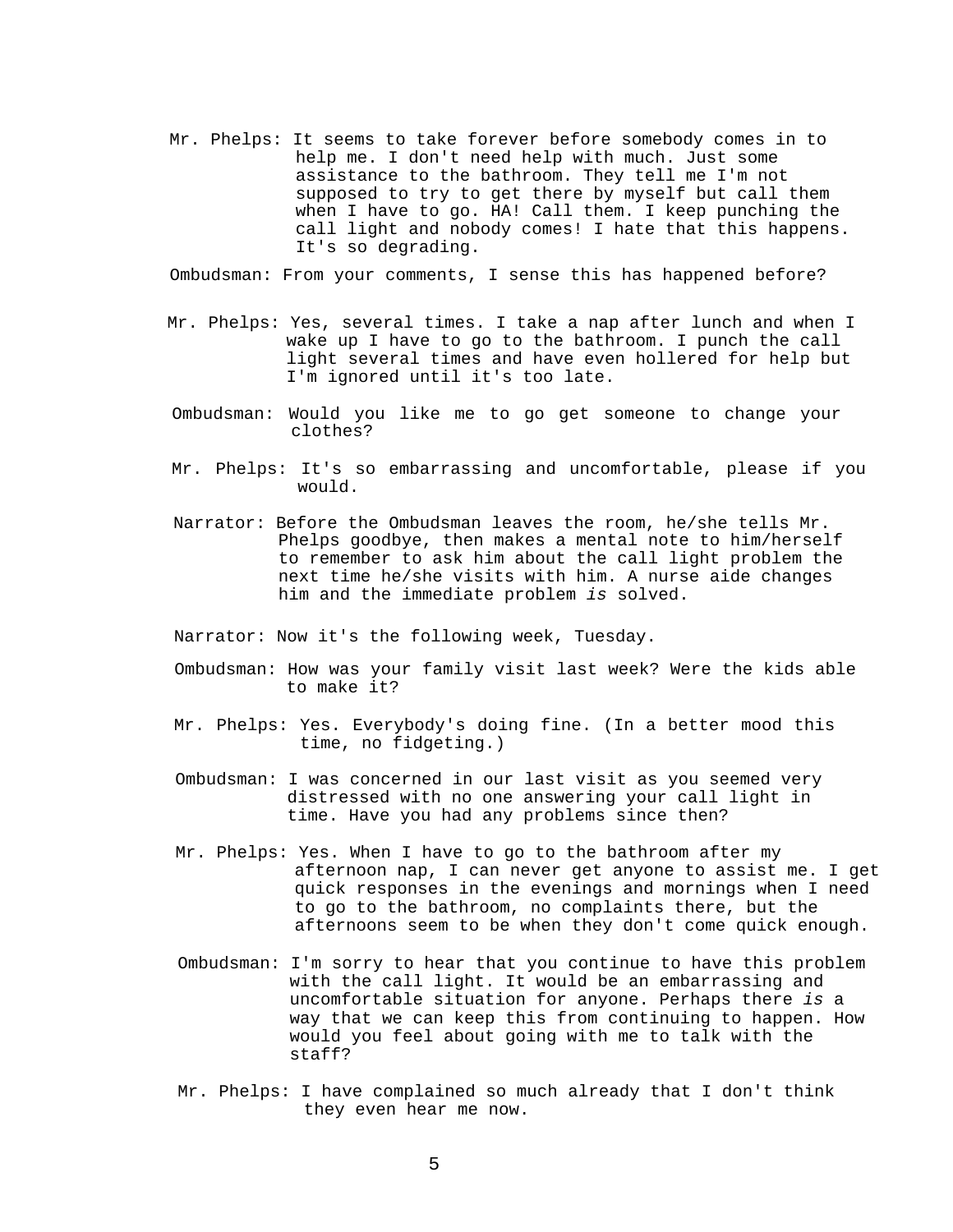Mr. Phelps: It seems to take forever before somebody comes in to help me. I don't need help with much. Just some assistance to the bathroom. They tell me I'm not supposed to try to get there by myself but call them when I have to go. HA! Call them. I keep punching the call light and nobody comes! I hate that this happens. It's so degrading.

Ombudsman: From your comments, I sense this has happened before?

- Mr. Phelps: Yes, several times. I take a nap after lunch and when I wake up I have to go to the bathroom. I punch the call light several times and have even hollered for help but I'm ignored until it's too late.
- Ombudsman: Would you like me to go get someone to change your clothes?
- Mr. Phelps: It's so embarrassing and uncomfortable, please if you would.
- Narrator: Before the Ombudsman leaves the room, he/she tells Mr. Phelps goodbye, then makes a mental note to him/herself to remember to ask him about the call light problem the next time he/she visits with him. A nurse aide changes him and the immediate problem *is* solved.

Narrator: Now it's the following week, Tuesday.

- Ombudsman: How was your family visit last week? Were the kids able to make it?
- Mr. Phelps: Yes. Everybody's doing fine. (In a better mood this time, no fidgeting.)
- Ombudsman: I was concerned in our last visit as you seemed very distressed with no one answering your call light in time. Have you had any problems since then?
- Mr. Phelps: Yes. When I have to go to the bathroom after my afternoon nap, I can never get anyone to assist me. I get quick responses in the evenings and mornings when I need to go to the bathroom, no complaints there, but the afternoons seem to be when they don't come quick enough.
- Ombudsman: I'm sorry to hear that you continue to have this problem with the call light. It would be an embarrassing and uncomfortable situation for anyone. Perhaps there *is* a way that we can keep this from continuing to happen. How would you feel about going with me to talk with the staff?
- Mr. Phelps: I have complained so much already that I don't think they even hear me now.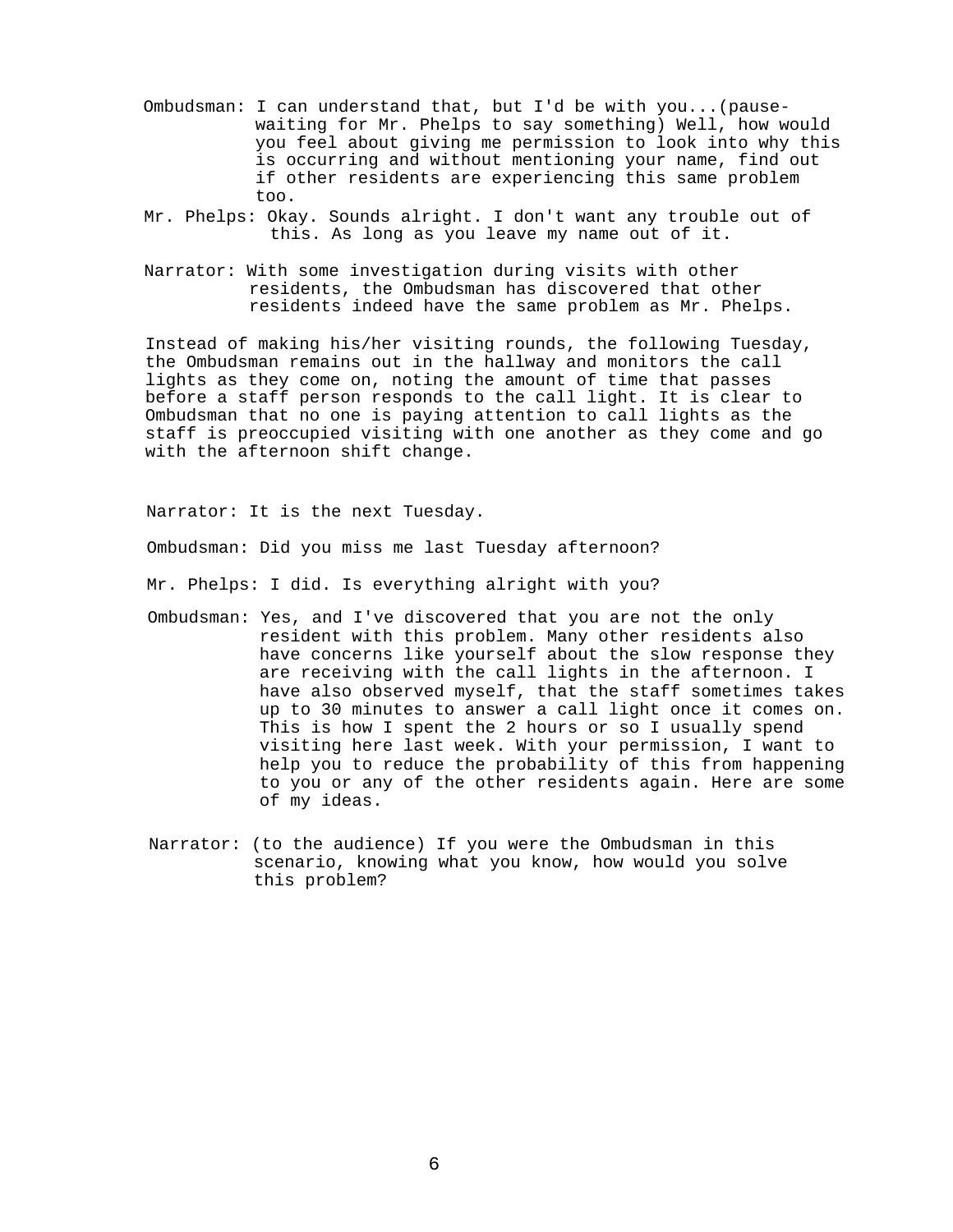- Ombudsman: I can understand that, but I'd be with you...(pausewaiting for Mr. Phelps to say something) Well, how would you feel about giving me permission to look into why this is occurring and without mentioning your name, find out if other residents are experiencing this same problem too.
- Mr. Phelps: Okay. Sounds alright. I don't want any trouble out of this. As long as you leave my name out of it.
- Narrator: With some investigation during visits with other residents, the Ombudsman has discovered that other residents indeed have the same problem as Mr. Phelps.

Instead of making his/her visiting rounds, the following Tuesday, the Ombudsman remains out in the hallway and monitors the call lights as they come on, noting the amount of time that passes before a staff person responds to the call light. It is clear to Ombudsman that no one is paying attention to call lights as the staff is preoccupied visiting with one another as they come and go with the afternoon shift change.

Narrator: It is the next Tuesday.

Ombudsman: Did you miss me last Tuesday afternoon?

Mr. Phelps: I did. Is everything alright with you?

- Ombudsman: Yes, and I've discovered that you are not the only resident with this problem. Many other residents also have concerns like yourself about the slow response they are receiving with the call lights in the afternoon. I have also observed myself, that the staff sometimes takes up to 30 minutes to answer a call light once it comes on. This is how I spent the 2 hours or so I usually spend visiting here last week. With your permission, I want to help you to reduce the probability of this from happening to you or any of the other residents again. Here are some of my ideas.
- Narrator: (to the audience) If you were the Ombudsman in this scenario, knowing what you know, how would you solve this problem?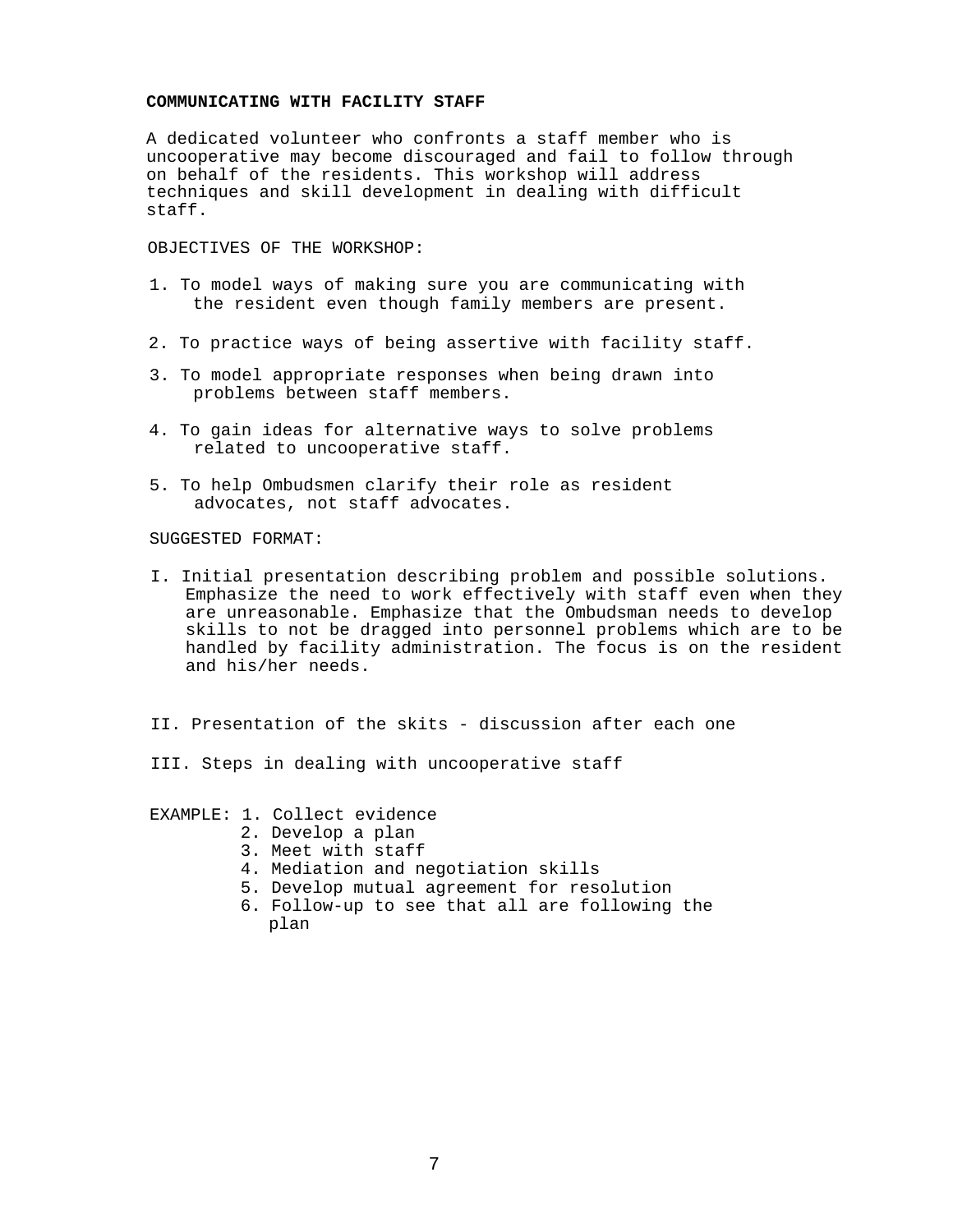#### **COMMUNICATING WITH FACILITY STAFF**

A dedicated volunteer who confronts a staff member who is uncooperative may become discouraged and fail to follow through on behalf of the residents. This workshop will address techniques and skill development in dealing with difficult staff.

OBJECTIVES OF THE WORKSHOP:

- 1. To model ways of making sure you are communicating with the resident even though family members are present.
- 2. To practice ways of being assertive with facility staff.
- 3. To model appropriate responses when being drawn into problems between staff members.
- 4. To gain ideas for alternative ways to solve problems related to uncooperative staff.
- 5. To help Ombudsmen clarify their role as resident advocates, not staff advocates.

SUGGESTED FORMAT:

- I. Initial presentation describing problem and possible solutions. Emphasize the need to work effectively with staff even when they are unreasonable. Emphasize that the Ombudsman needs to develop skills to not be dragged into personnel problems which are to be handled by facility administration. The focus is on the resident and his/her needs.
- II. Presentation of the skits discussion after each one
- III. Steps in dealing with uncooperative staff

EXAMPLE: 1. Collect evidence

- 2. Develop a plan
- 3. Meet with staff
- 4. Mediation and negotiation skills
- 5. Develop mutual agreement for resolution
- 6. Follow-up to see that all are following the plan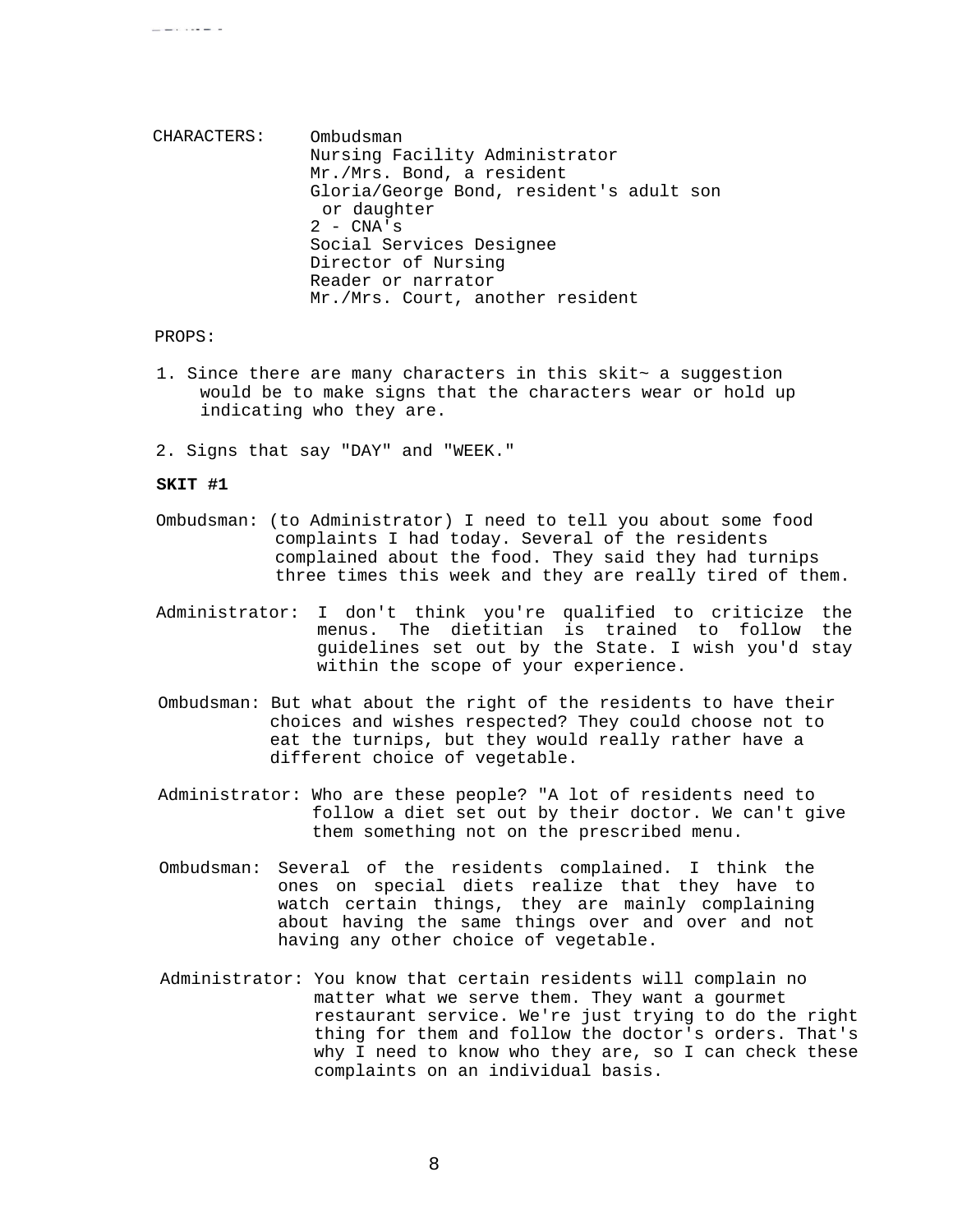CHARACTERS: Ombudsman Nursing Facility Administrator Mr./Mrs. Bond, a resident Gloria/George Bond, resident's adult son or daughter  $2 - CNA's$ Social Services Designee Director of Nursing Reader or narrator Mr./Mrs. Court, another resident

### PROPS:

**CONTRACTOR** 

- 1. Since there are many characters in this skit $\sim$  a suggestion would be to make signs that the characters wear or hold up indicating who they are.
- 2. Signs that say "DAY" and "WEEK."

#### **SKIT #1**

- Ombudsman: (to Administrator) I need to tell you about some food complaints I had today. Several of the residents complained about the food. They said they had turnips three times this week and they are really tired of them.
- Administrator: I don't think you're qualified to criticize the menus. The dietitian is trained to follow the guidelines set out by the State. I wish you'd stay within the scope of your experience.
- Ombudsman: But what about the right of the residents to have their choices and wishes respected? They could choose not to eat the turnips, but they would really rather have a different choice of vegetable.
- Administrator: Who are these people? "A lot of residents need to follow a diet set out by their doctor. We can't give them something not on the prescribed menu.
- Ombudsman: Several of the residents complained. I think the ones on special diets realize that they have to watch certain things, they are mainly complaining about having the same things over and over and not having any other choice of vegetable.
- Administrator: You know that certain residents will complain no matter what we serve them. They want a gourmet restaurant service. We're just trying to do the right thing for them and follow the doctor's orders. That's why I need to know who they are, so I can check these complaints on an individual basis.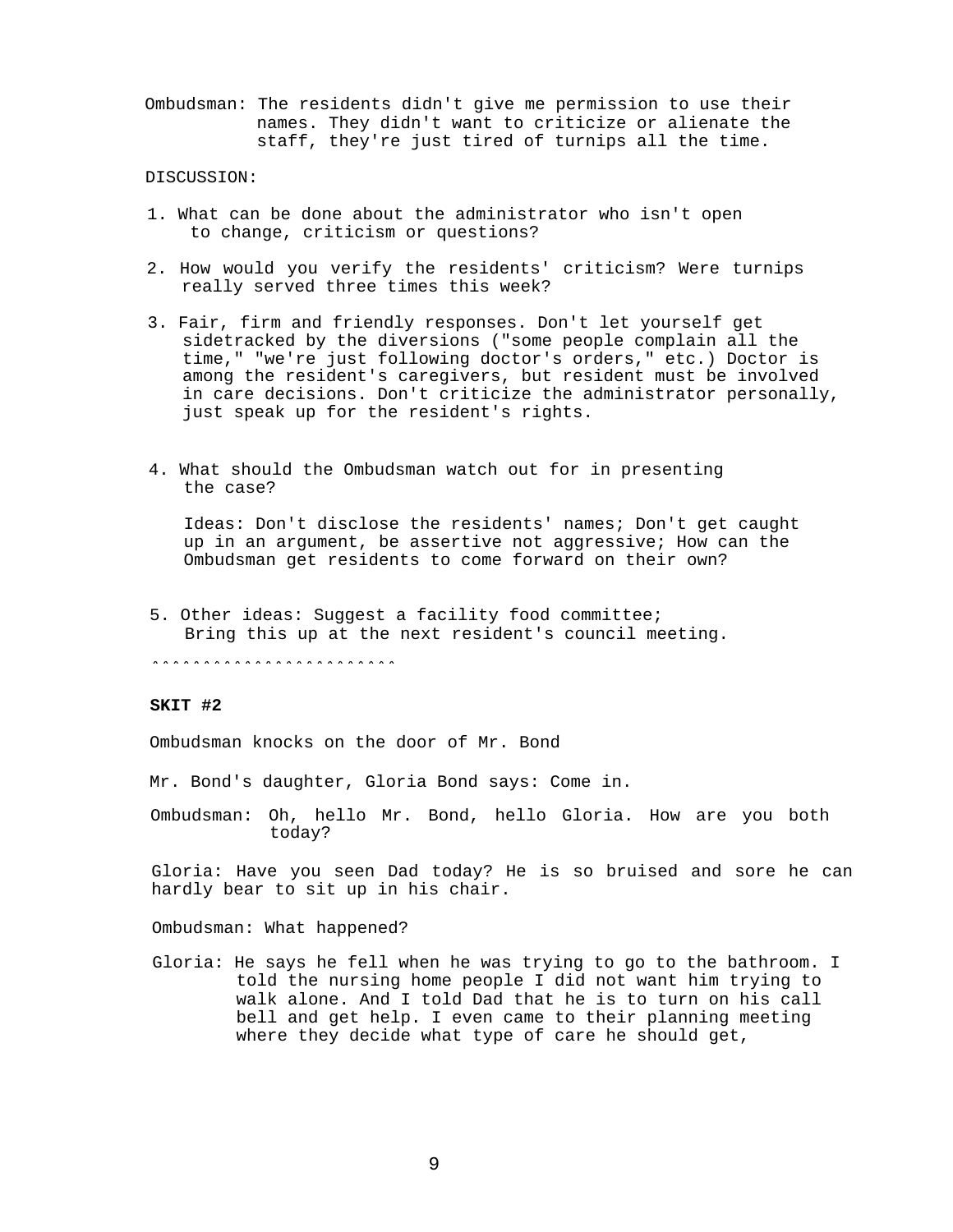Ombudsman: The residents didn't give me permission to use their names. They didn't want to criticize or alienate the staff, they're just tired of turnips all the time.

#### DISCUSSION:

- 1. What can be done about the administrator who isn't open to change, criticism or questions?
- 2. How would you verify the residents' criticism? Were turnips really served three times this week?
- 3. Fair, firm and friendly responses. Don't let yourself get sidetracked by the diversions ("some people complain all the time," "we're just following doctor's orders," etc.) Doctor is among the resident's caregivers, but resident must be involved in care decisions. Don't criticize the administrator personally, just speak up for the resident's rights.
- 4. What should the Ombudsman watch out for in presenting the case?

Ideas: Don't disclose the residents' names; Don't get caught up in an argument, be assertive not aggressive; How can the Ombudsman get residents to come forward on their own?

5. Other ideas: Suggest a facility food committee; Bring this up at the next resident's council meeting.

\*\*\*\*\*\*\*\*\*\*\*\*\*\*\*\*\*\*\*\*\*\*\*\*

## **SKIT #2**

Ombudsman knocks on the door of Mr. Bond

Mr. Bond's daughter, Gloria Bond says: Come in.

Ombudsman: Oh, hello Mr. Bond, hello Gloria. How are you both today?

Gloria: Have you seen Dad today? He is so bruised and sore he can hardly bear to sit up in his chair.

Ombudsman: What happened?

Gloria: He says he fell when he was trying to go to the bathroom. I told the nursing home people I did not want him trying to walk alone. And I told Dad that he is to turn on his call bell and get help. I even came to their planning meeting where they decide what type of care he should get,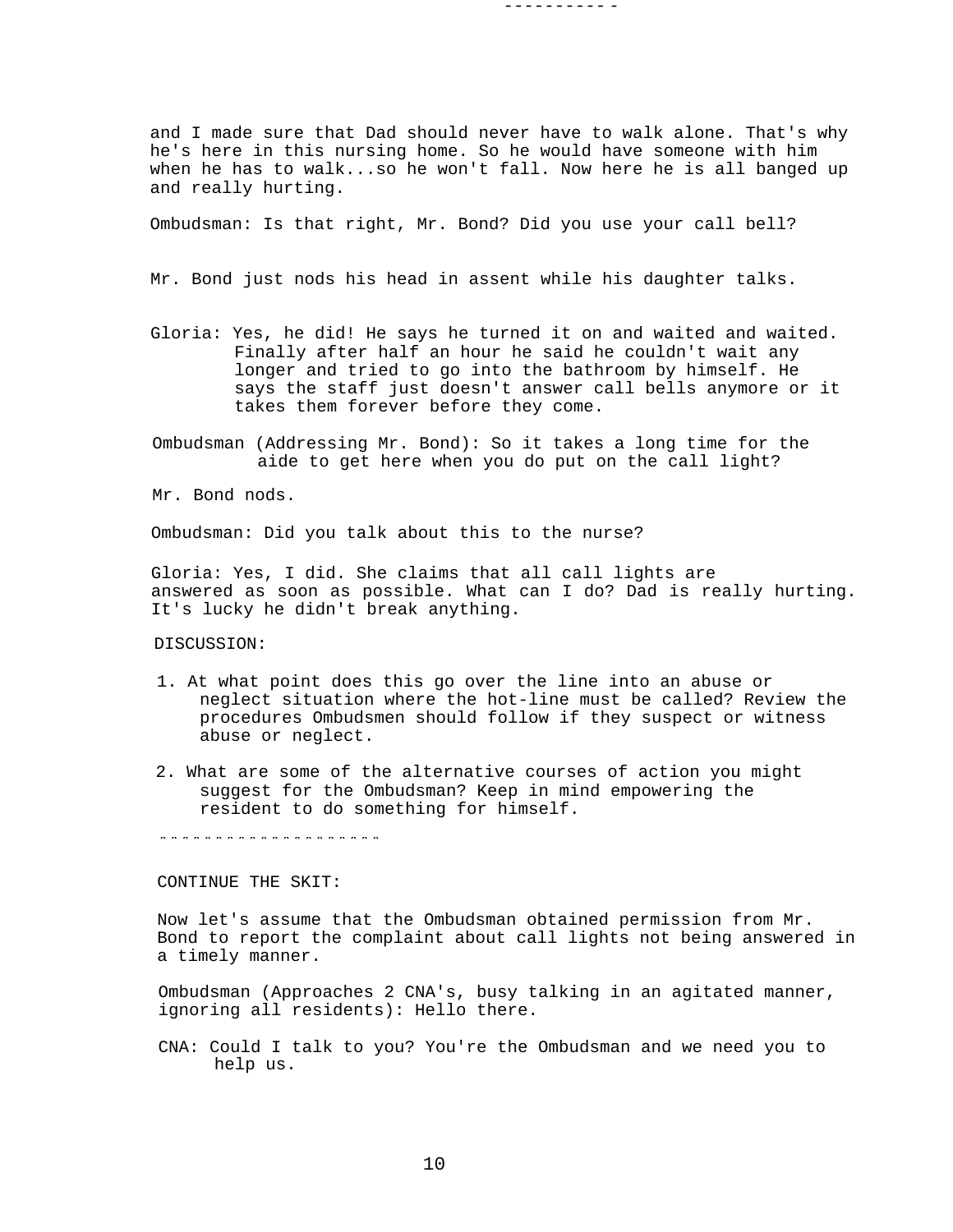and I made sure that Dad should never have to walk alone. That's why he's here in this nursing home. So he would have someone with him when he has to walk...so he won't fall. Now here he is all banged up and really hurting.

---------- -

Ombudsman: Is that right, Mr. Bond? Did you use your call bell?

Mr. Bond just nods his head in assent while his daughter talks.

- Gloria: Yes, he did! He says he turned it on and waited and waited. Finally after half an hour he said he couldn't wait any longer and tried to go into the bathroom by himself. He says the staff just doesn't answer call bells anymore or it takes them forever before they come.
- Ombudsman (Addressing Mr. Bond): So it takes a long time for the aide to get here when you do put on the call light?

Mr. Bond nods.

Ombudsman: Did you talk about this to the nurse?

Gloria: Yes, I did. She claims that all call lights are answered as soon as possible. What can I do? Dad is really hurting. It's lucky he didn't break anything.

DISCUSSION:

- 1. At what point does this go over the line into an abuse or neglect situation where the hot-line must be called? Review the procedures Ombudsmen should follow if they suspect or witness abuse or neglect.
- 2. What are some of the alternative courses of action you might suggest for the Ombudsman? Keep in mind empowering the resident to do something for himself.

\*\*\*\*\*\*\*\*\*\*\*\*\*\*\*\*\*\*\*\*

CONTINUE THE SKIT:

Now let's assume that the Ombudsman obtained permission from Mr. Bond to report the complaint about call lights not being answered in a timely manner.

Ombudsman (Approaches 2 CNA's, busy talking in an agitated manner, ignoring all residents): Hello there.

CNA: Could I talk to you? You're the Ombudsman and we need you to help us.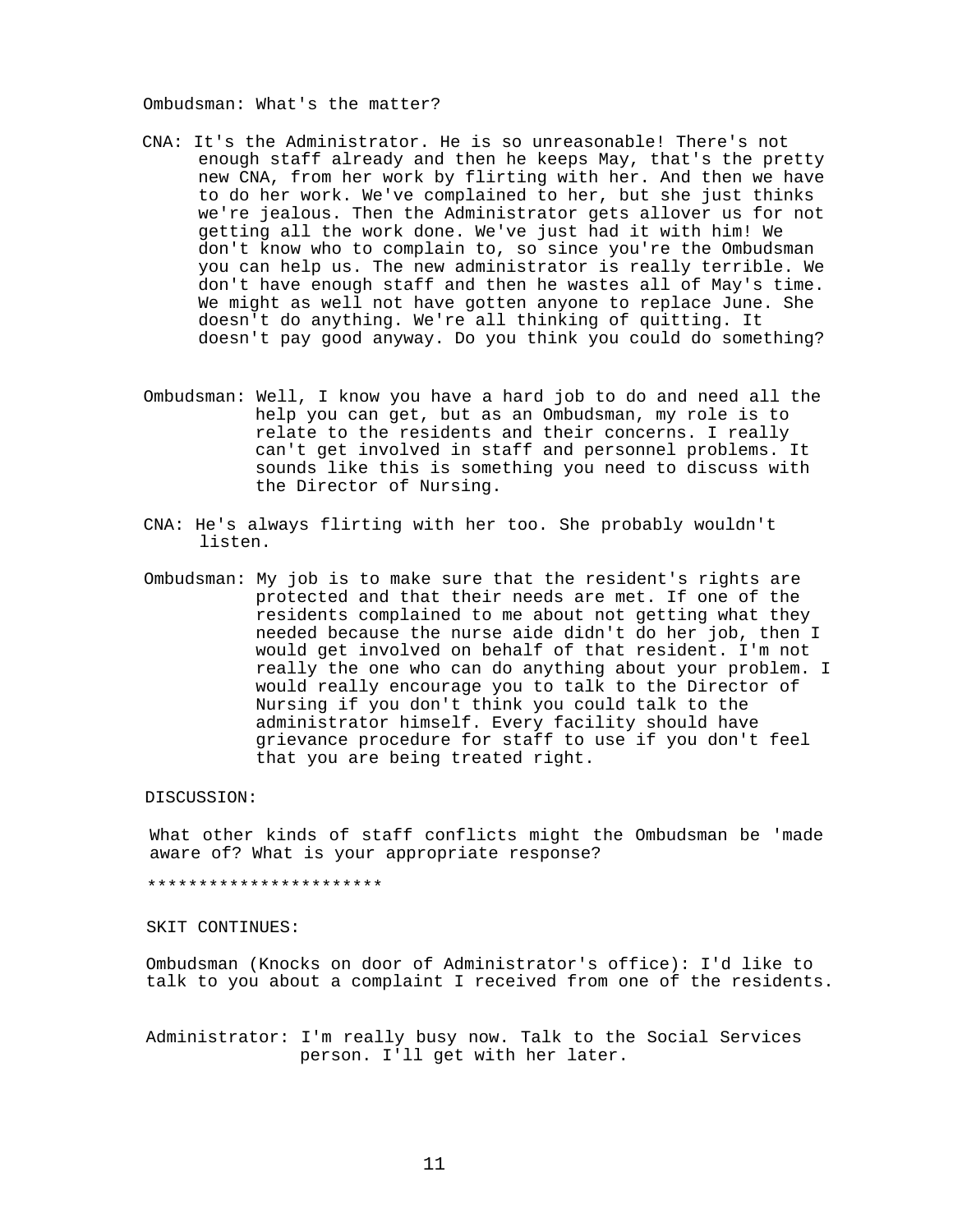Ombudsman: What's the matter?

- CNA: It's the Administrator. He is so unreasonable! There's not enough staff already and then he keeps May, that's the pretty new CNA, from her work by flirting with her. And then we have to do her work. We've complained to her, but she just thinks we're jealous. Then the Administrator gets allover us for not getting all the work done. We've just had it with him! We don't know who to complain to, so since you're the Ombudsman you can help us. The new administrator is really terrible. We don't have enough staff and then he wastes all of May's time. We might as well not have gotten anyone to replace June. She doesn't do anything. We're all thinking of quitting. It doesn't pay good anyway. Do you think you could do something?
- Ombudsman: Well, I know you have a hard job to do and need all the help you can get, but as an Ombudsman, my role is to relate to the residents and their concerns. I really can't get involved in staff and personnel problems. It sounds like this is something you need to discuss with the Director of Nursing.
- CNA: He's always flirting with her too. She probably wouldn't listen.
- Ombudsman: My job is to make sure that the resident's rights are protected and that their needs are met. If one of the residents complained to me about not getting what they needed because the nurse aide didn't do her job, then I would get involved on behalf of that resident. I'm not really the one who can do anything about your problem. I would really encourage you to talk to the Director of Nursing if you don't think you could talk to the administrator himself. Every facility should have grievance procedure for staff to use if you don't feel that you are being treated right.

## DISCUSSION:

What other kinds of staff conflicts might the Ombudsman be 'made aware of? What is your appropriate response?

## \*\*\*\*\*\*\*\*\*\*\*\*\*\*\*\*\*\*\*\*\*\*\*

#### SKIT CONTINUES:

Ombudsman (Knocks on door of Administrator's office): I'd like to talk to you about a complaint I received from one of the residents.

Administrator: I'm really busy now. Talk to the Social Services person. I'll get with her later.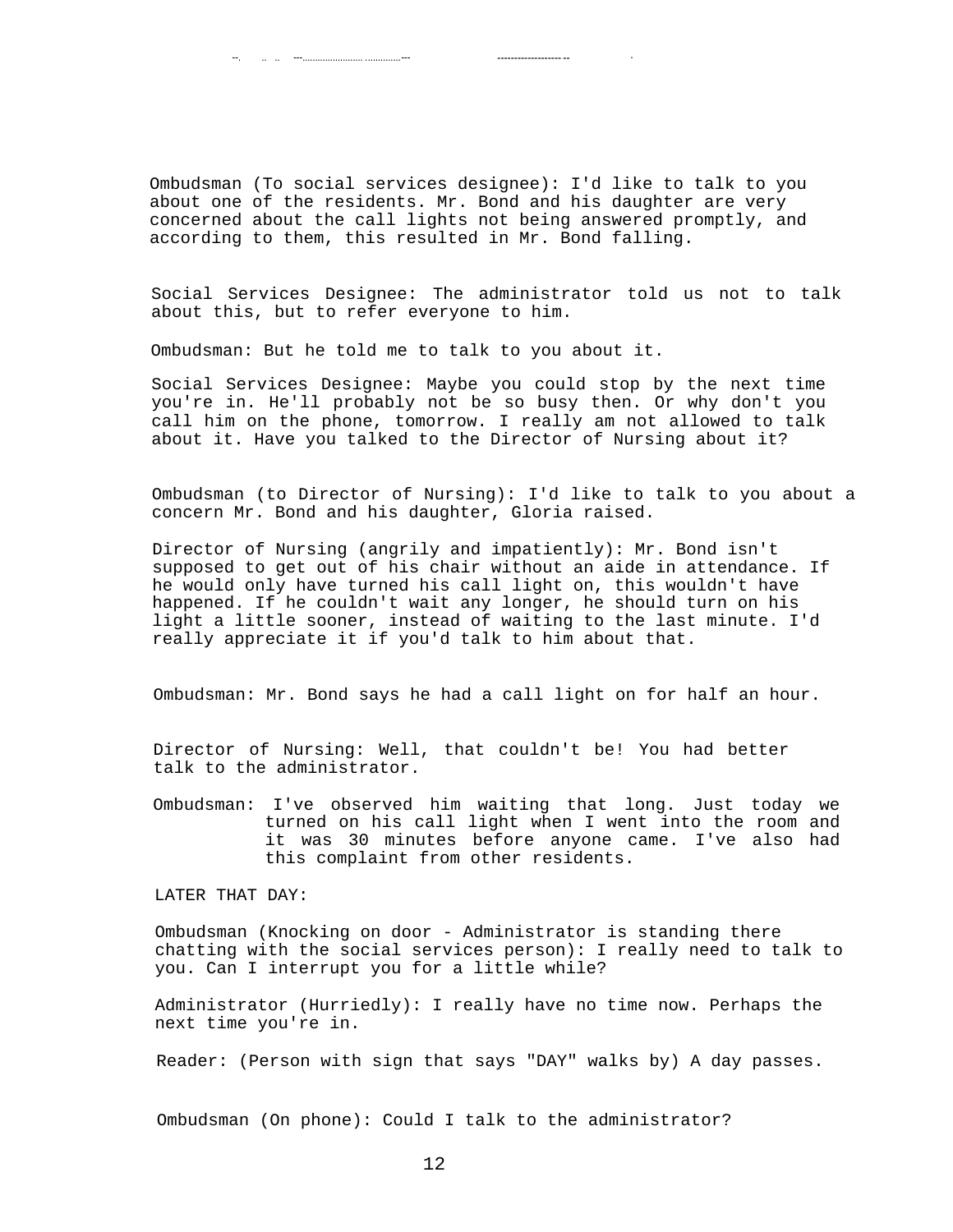Ombudsman (To social services designee): I'd like to talk to you about one of the residents. Mr. Bond and his daughter are very concerned about the call lights not being answered promptly, and according to them, this resulted in Mr. Bond falling.

Social Services Designee: The administrator told us not to talk about this, but to refer everyone to him.

Ombudsman: But he told me to talk to you about it.

. --. .. .. ---........................ ..............--- ------------------- --

Social Services Designee: Maybe you could stop by the next time you're in. He'll probably not be so busy then. Or why don't you call him on the phone, tomorrow. I really am not allowed to talk about it. Have you talked to the Director of Nursing about it?

Ombudsman (to Director of Nursing): I'd like to talk to you about a concern Mr. Bond and his daughter, Gloria raised.

Director of Nursing (angrily and impatiently): Mr. Bond isn't supposed to get out of his chair without an aide in attendance. If he would only have turned his call light on, this wouldn't have happened. If he couldn't wait any longer, he should turn on his light a little sooner, instead of waiting to the last minute. I'd really appreciate it if you'd talk to him about that.

Ombudsman: Mr. Bond says he had a call light on for half an hour.

Director of Nursing: Well, that couldn't be! You had better talk to the administrator.

Ombudsman: I've observed him waiting that long. Just today we turned on his call light when I went into the room and it was 30 minutes before anyone came. I've also had this complaint from other residents.

LATER THAT DAY:

Ombudsman (Knocking on door - Administrator is standing there chatting with the social services person): I really need to talk to you. Can I interrupt you for a little while?

Administrator (Hurriedly): I really have no time now. Perhaps the next time you're in.

Reader: (Person with sign that says "DAY" walks by) A day passes.

Ombudsman (On phone): Could I talk to the administrator?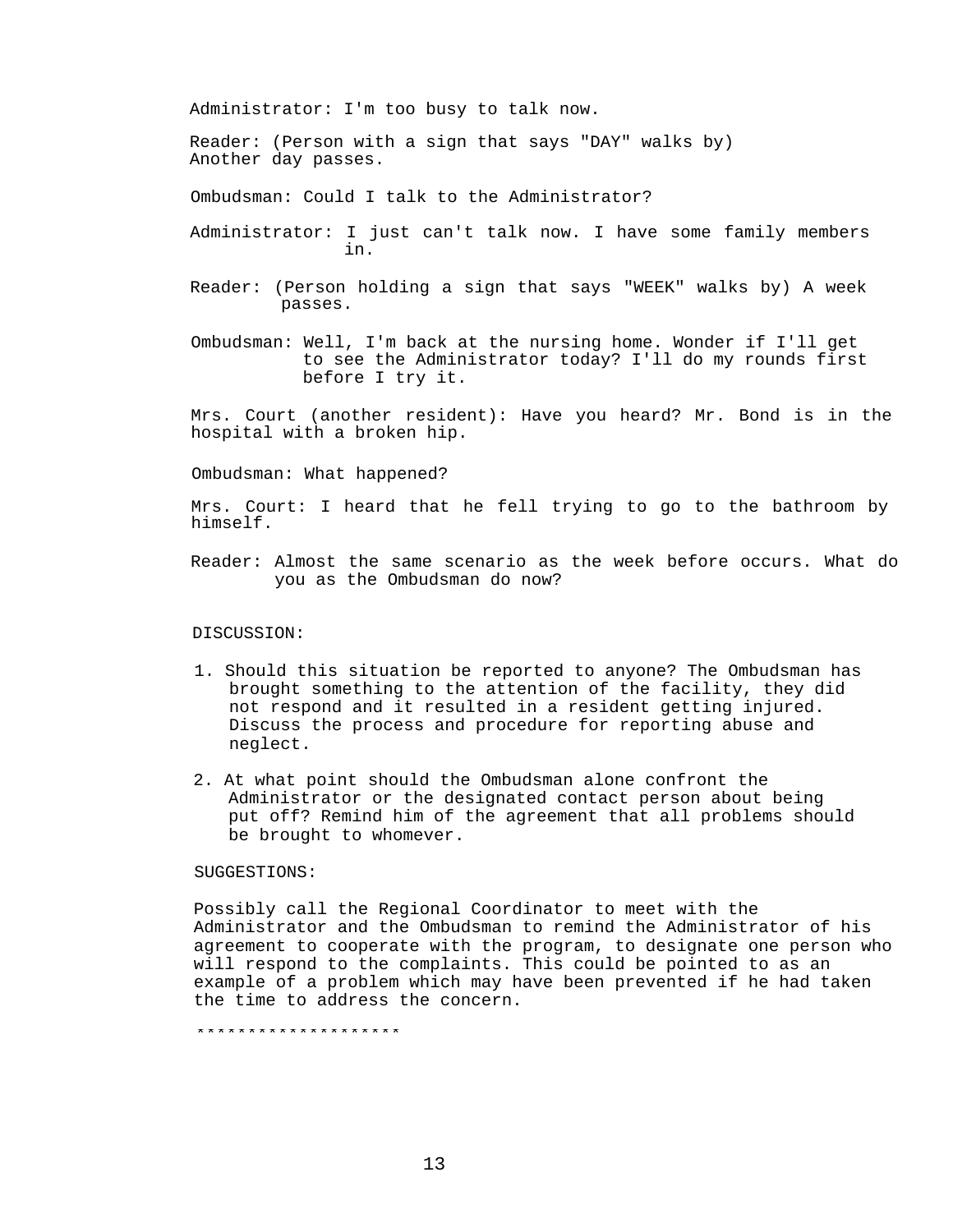Administrator: I'm too busy to talk now.

Reader: (Person with a sign that says "DAY" walks by) Another day passes.

Ombudsman: Could I talk to the Administrator?

- Administrator: I just can't talk now. I have some family members in.
- Reader: (Person holding a sign that says "WEEK" walks by) A week passes.
- Ombudsman: Well, I'm back at the nursing home. Wonder if I'll get to see the Administrator today? I'll do my rounds first before I try it.

Mrs. Court (another resident): Have you heard? Mr. Bond is in the hospital with a broken hip.

Ombudsman: What happened?

Mrs. Court: I heard that he fell trying to go to the bathroom by himself.

Reader: Almost the same scenario as the week before occurs. What do you as the Ombudsman do now?

## DISCUSSION:

- 1. Should this situation be reported to anyone? The Ombudsman has brought something to the attention of the facility, they did not respond and it resulted in a resident getting injured. Discuss the process and procedure for reporting abuse and neglect.
- 2. At what point should the Ombudsman alone confront the Administrator or the designated contact person about being put off? Remind him of the agreement that all problems should be brought to whomever.

## SUGGESTIONS:

Possibly call the Regional Coordinator to meet with the Administrator and the Ombudsman to remind the Administrator of his agreement to cooperate with the program, to designate one person who will respond to the complaints. This could be pointed to as an example of a problem which may have been prevented if he had taken the time to address the concern.

\*\*\*\*\*\*\*\*\*\*\*\*\*\*\*\*\*\*\*\*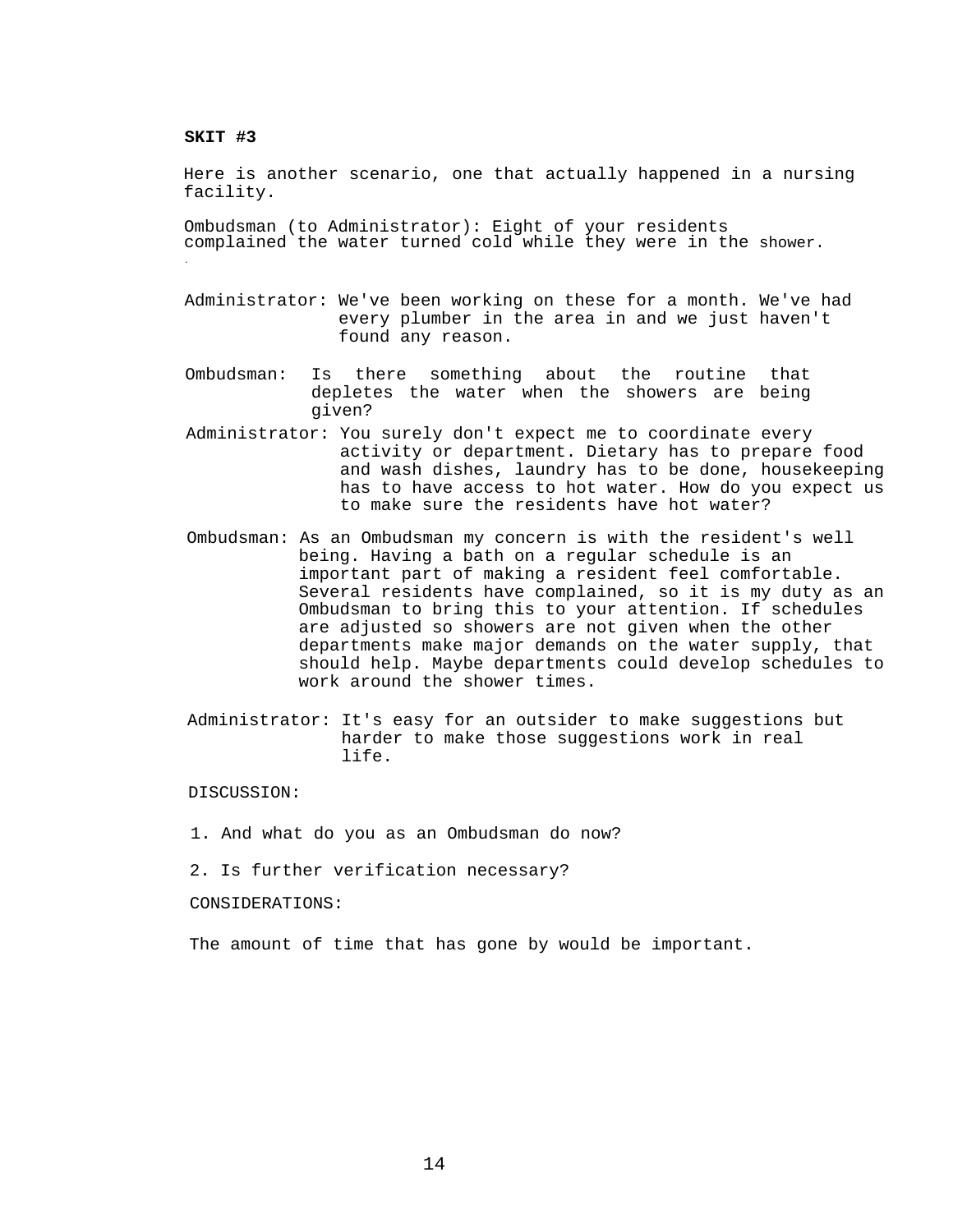## **SKIT #3**

.

Here is another scenario, one that actually happened in a nursing facility.

Ombudsman (to Administrator): Eight of your residents complained the water turned cold while they were in the shower.

- Administrator: We've been working on these for a month. We've had every plumber in the area in and we just haven't found any reason.
- Ombudsman: Is there something about the routine that depletes the water when the showers are being given?
- Administrator: You surely don't expect me to coordinate every activity or department. Dietary has to prepare food and wash dishes, laundry has to be done, housekeeping has to have access to hot water. How do you expect us to make sure the residents have hot water?
- Ombudsman: As an Ombudsman my concern is with the resident's well being. Having a bath on a regular schedule is an important part of making a resident feel comfortable. Several residents have complained, so it is my duty as an Ombudsman to bring this to your attention. If schedules are adjusted so showers are not given when the other departments make major demands on the water supply, that should help. Maybe departments could develop schedules to work around the shower times.
- Administrator: It's easy for an outsider to make suggestions but harder to make those suggestions work in real life.

DISCUSSION:

- 1. And what do you as an Ombudsman do now?
- 2. Is further verification necessary?

CONSIDERATIONS:

The amount of time that has gone by would be important.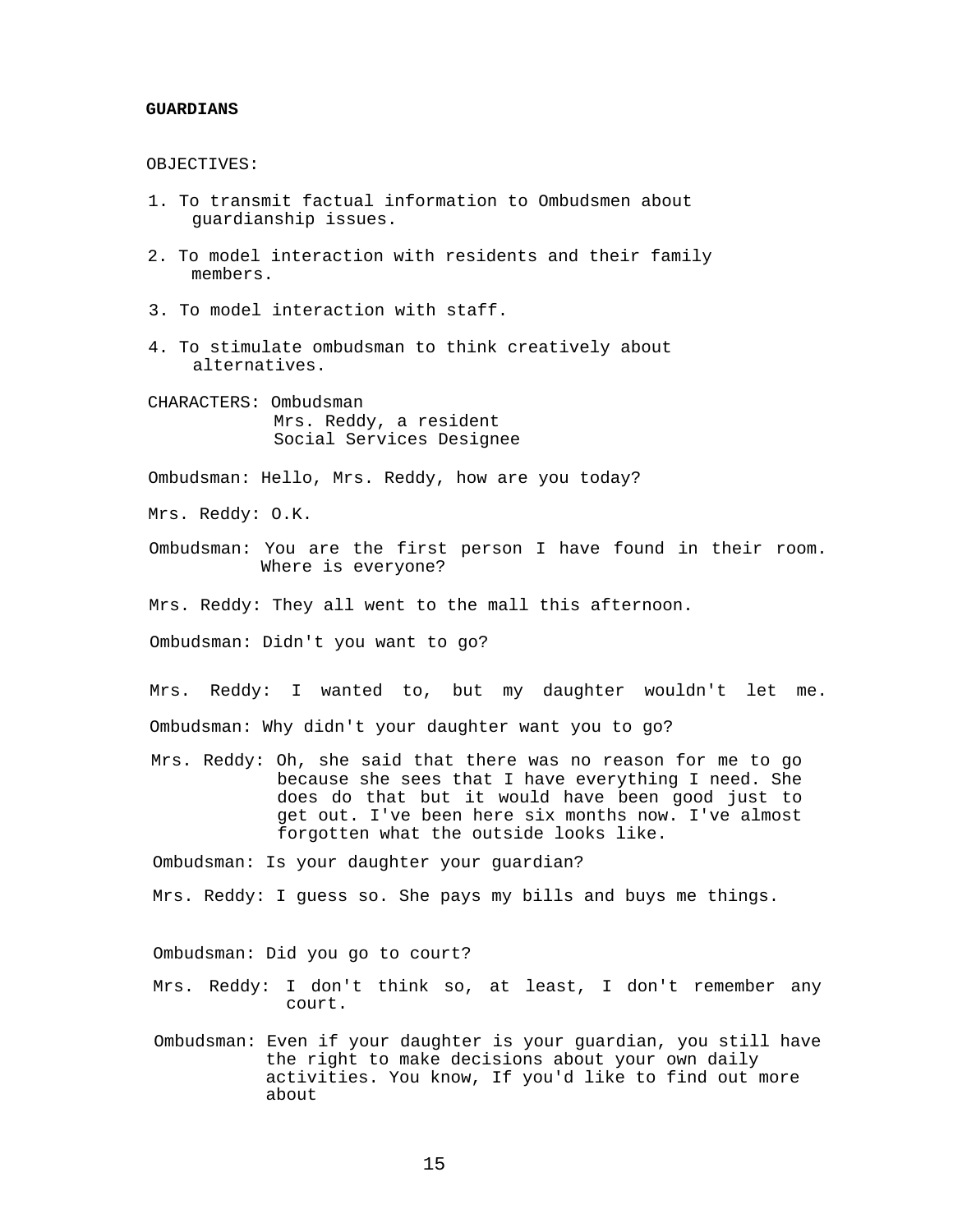#### **GUARDIANS**

OBJECTIVES:

- 1. To transmit factual information to Ombudsmen about guardianship issues.
- 2. To model interaction with residents and their family members.
- 3. To model interaction with staff.
- 4. To stimulate ombudsman to think creatively about alternatives.
- CHARACTERS: Ombudsman Mrs. Reddy, a resident Social Services Designee

Ombudsman: Hello, Mrs. Reddy, how are you today?

Mrs. Reddy: O.K.

- Ombudsman: You are the first person I have found in their room. Where is everyone?
- Mrs. Reddy: They all went to the mall this afternoon.

Ombudsman: Didn't you want to go?

Mrs. Reddy: I wanted to, but my daughter wouldn't let me. Ombudsman: Why didn't your daughter want you to go?

Mrs. Reddy: Oh, she said that there was no reason for me to go because she sees that I have everything I need. She does do that but it would have been good just to get out. I've been here six months now. I've almost forgotten what the outside looks like.

Ombudsman: Is your daughter your guardian?

Mrs. Reddy: I guess so. She pays my bills and buys me things.

Ombudsman: Did you go to court?

Mrs. Reddy: I don't think so, at least, I don't remember any court.

Ombudsman: Even if your daughter is your guardian, you still have the right to make decisions about your own daily activities. You know, If you'd like to find out more about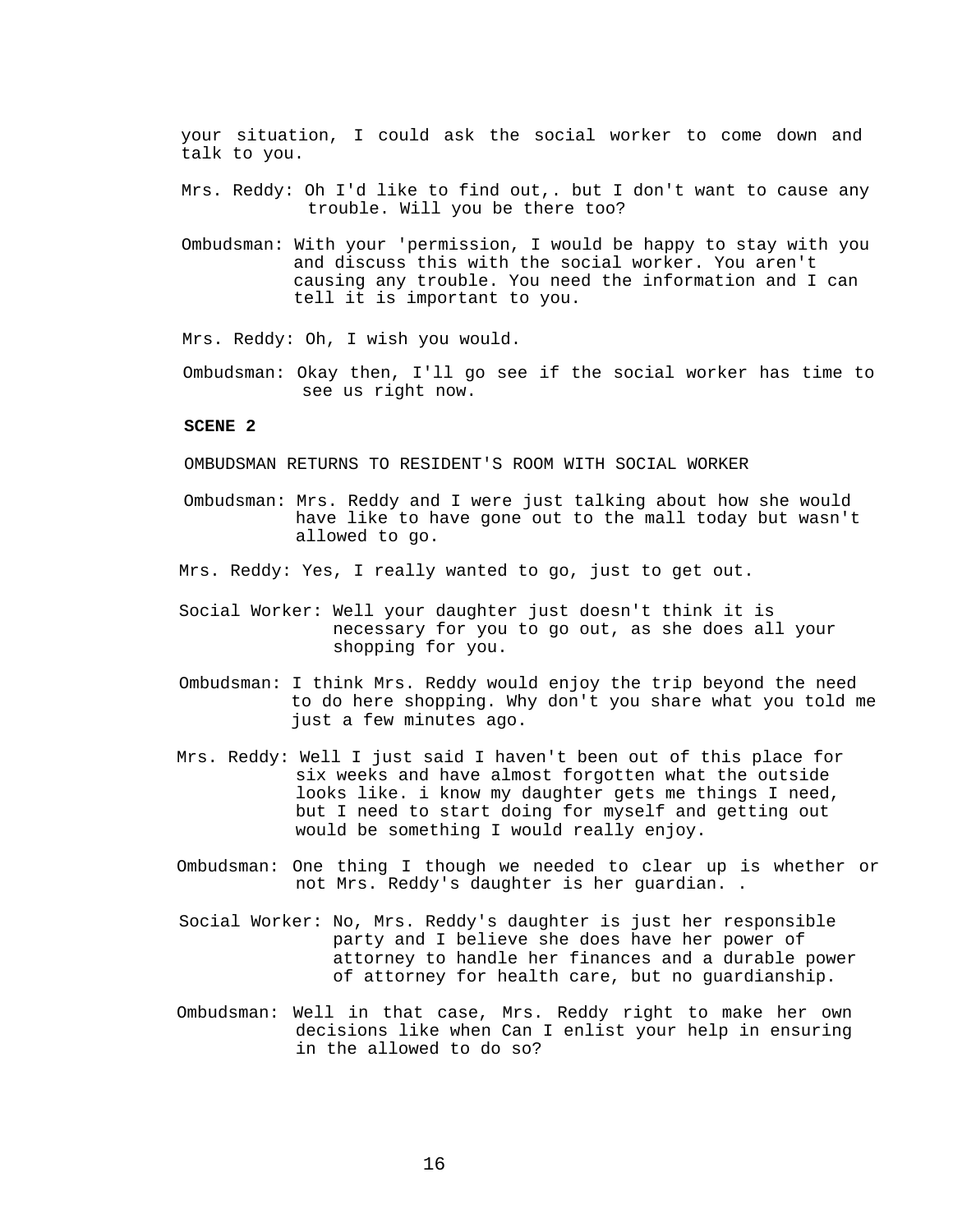your situation, I could ask the social worker to come down and talk to you.

- Mrs. Reddy: Oh I'd like to find out,. but I don't want to cause any trouble. Will you be there too?
- Ombudsman: With your 'permission, I would be happy to stay with you and discuss this with the social worker. You aren't causing any trouble. You need the information and I can tell it is important to you.

Mrs. Reddy: Oh, I wish you would.

Ombudsman: Okay then, I'll go see if the social worker has time to see us right now.

## **SCENE 2**

OMBUDSMAN RETURNS TO RESIDENT'S ROOM WITH SOCIAL WORKER

- Ombudsman: Mrs. Reddy and I were just talking about how she would have like to have gone out to the mall today but wasn't allowed to go.
- Mrs. Reddy: Yes, I really wanted to go, just to get out.
- Social Worker: Well your daughter just doesn't think it is necessary for you to go out, as she does all your shopping for you.
- Ombudsman: I think Mrs. Reddy would enjoy the trip beyond the need to do here shopping. Why don't you share what you told me just a few minutes ago.
- Mrs. Reddy: Well I just said I haven't been out of this place for six weeks and have almost forgotten what the outside looks like. i know my daughter gets me things I need, but I need to start doing for myself and getting out would be something I would really enjoy.
- Ombudsman: One thing I though we needed to clear up is whether or not Mrs. Reddy's daughter is her guardian. .
- Social Worker: No, Mrs. Reddy's daughter is just her responsible party and I believe she does have her power of attorney to handle her finances and a durable power of attorney for health care, but no guardianship.
- Ombudsman: Well in that case, Mrs. Reddy right to make her own decisions like when Can I enlist your help in ensuring in the allowed to do so?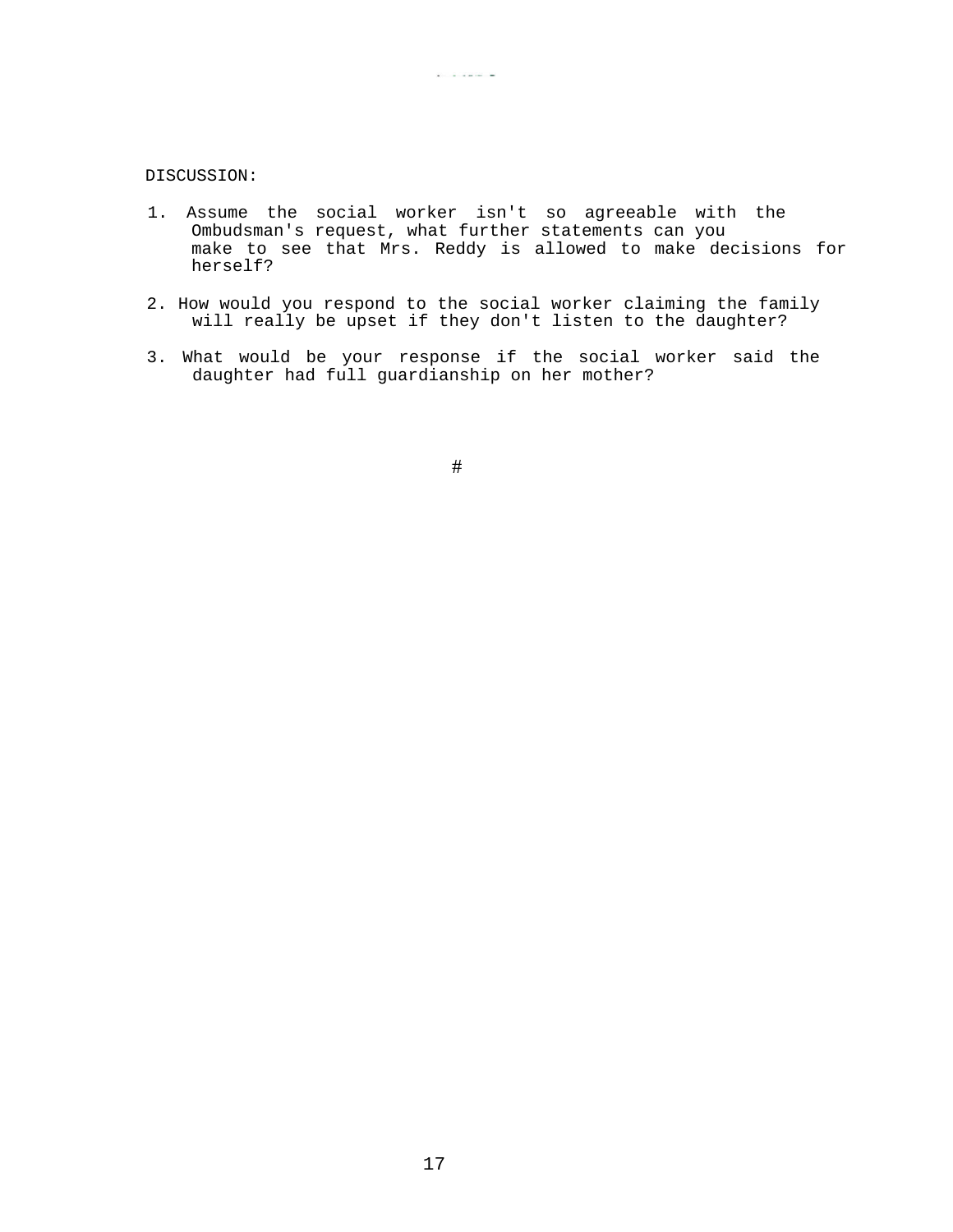# DISCUSSION:

1. Assume the social worker isn't so agreeable with the Ombudsman's request, what further statements can you make to see that Mrs. Reddy is allowed to make decisions for herself?

 $\mathbf{X}^{(i)}$  and  $\mathbf{X}^{(i)}$  are the contribution of

- 2. How would you respond to the social worker claiming the family will really be upset if they don't listen to the daughter?
- 3. What would be your response if the social worker said the daughter had full guardianship on her mother?

#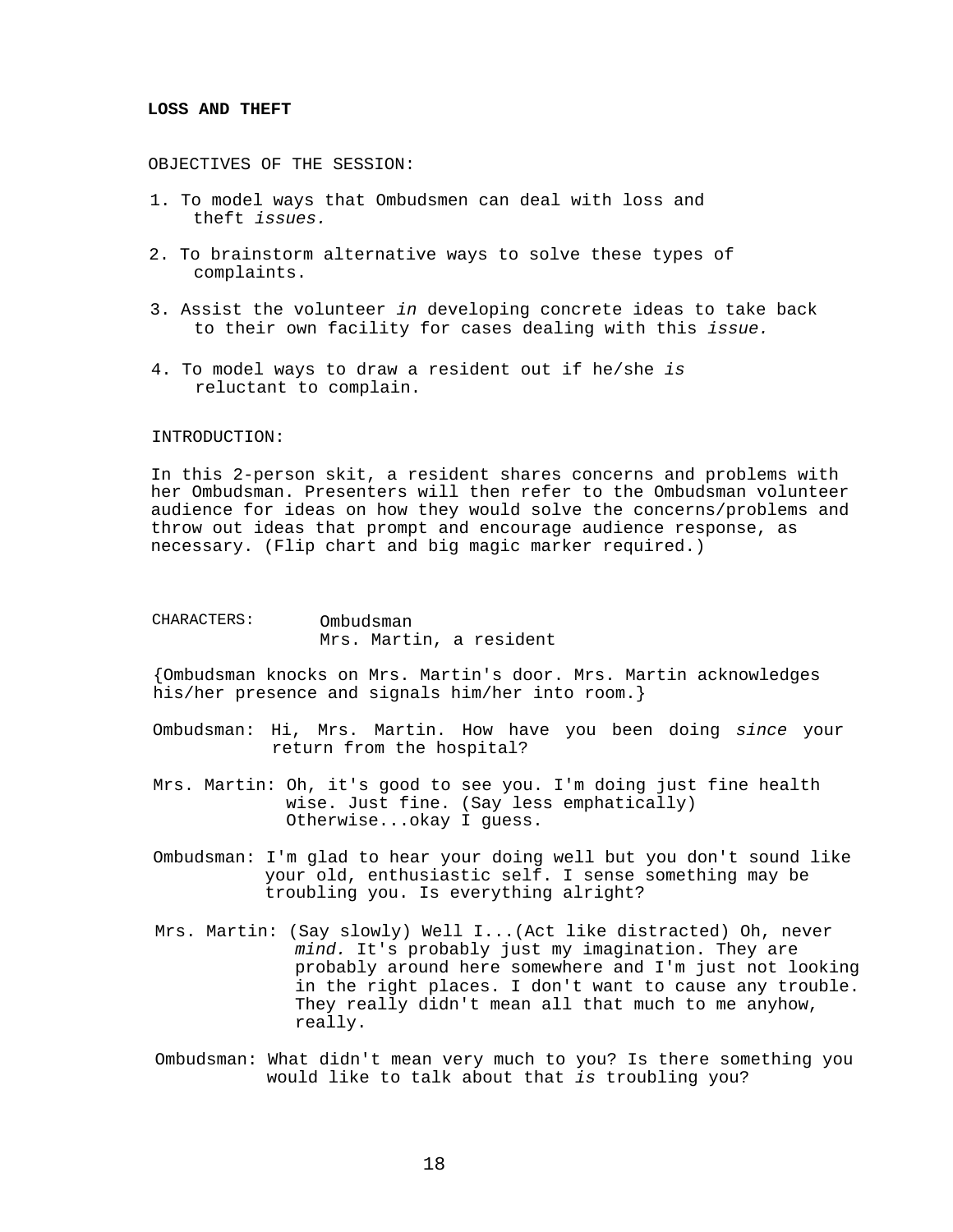## **LOSS AND THEFT**

OBJECTIVES OF THE SESSION:

- 1. To model ways that Ombudsmen can deal with loss and theft *issues.*
- 2. To brainstorm alternative ways to solve these types of complaints.
- 3. Assist the volunteer *in* developing concrete ideas to take back to their own facility for cases dealing with this *issue.*
- 4. To model ways to draw a resident out if he/she *is*  reluctant to complain.

## INTRODUCTION:

In this 2-person skit, a resident shares concerns and problems with her Ombudsman. Presenters will then refer to the Ombudsman volunteer audience for ideas on how they would solve the concerns/problems and throw out ideas that prompt and encourage audience response, as necessary. (Flip chart and big magic marker required.)

| CHARACTERS: | Ombudsman |  |  |                         |  |  |
|-------------|-----------|--|--|-------------------------|--|--|
|             |           |  |  | Mrs. Martin, a resident |  |  |

{Ombudsman knocks on Mrs. Martin's door. Mrs. Martin acknowledges his/her presence and signals him/her into room.}

- Ombudsman: Hi, Mrs. Martin. How have you been doing *since* your return from the hospital?
- Mrs. Martin: Oh, it's good to see you. I'm doing just fine health wise. Just fine. (Say less emphatically) Otherwise...okay I guess.
- Ombudsman: I'm glad to hear your doing well but you don't sound like your old, enthusiastic self. I sense something may be troubling you. Is everything alright?
- Mrs. Martin: (Say slowly) Well I...(Act like distracted) Oh, never *mind.* It's probably just my imagination. They are probably around here somewhere and I'm just not looking in the right places. I don't want to cause any trouble. They really didn't mean all that much to me anyhow, really.
- Ombudsman: What didn't mean very much to you? Is there something you would like to talk about that *is* troubling you?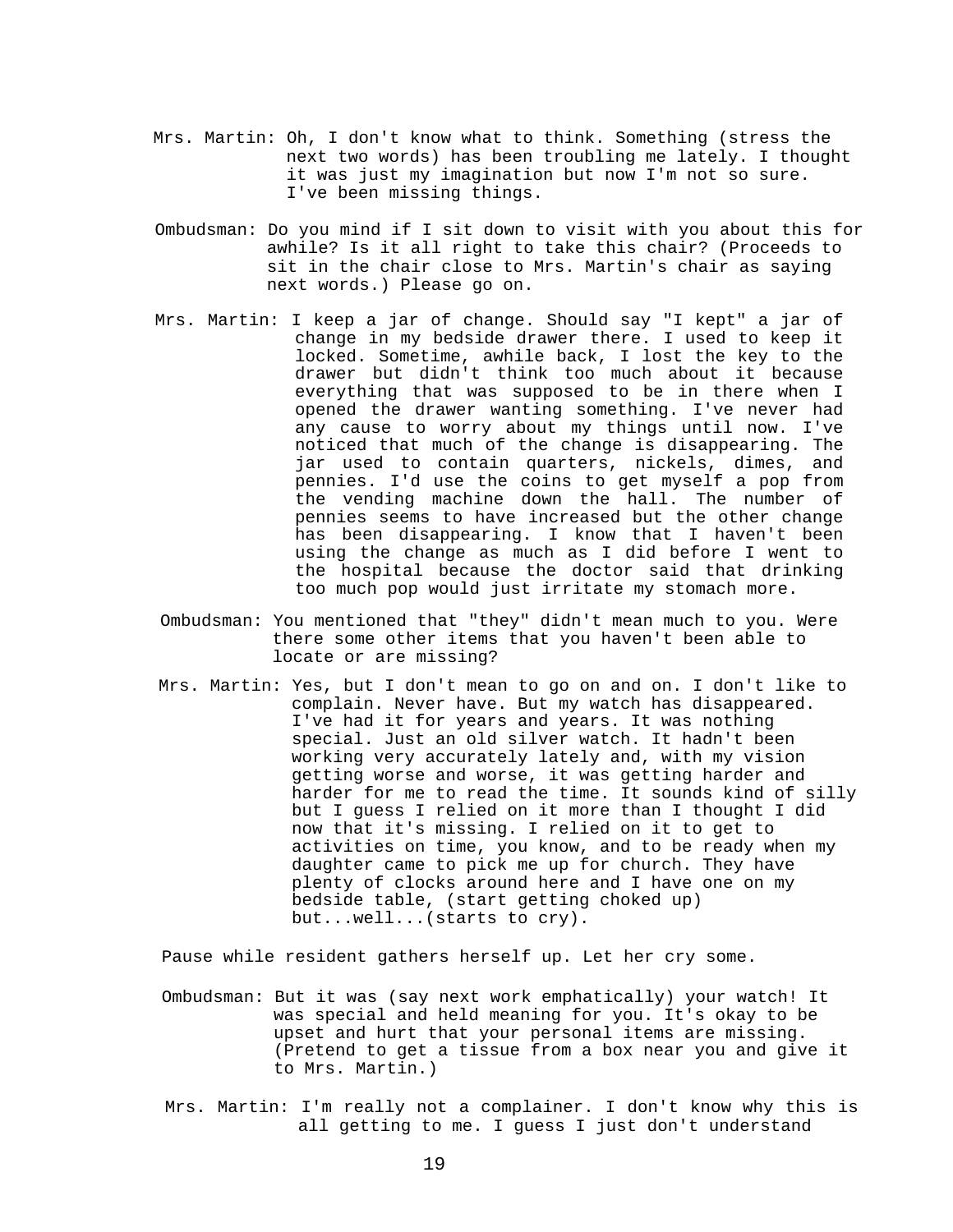- Mrs. Martin: Oh, I don't know what to think. Something (stress the next two words) has been troubling me lately. I thought it was just my imagination but now I'm not so sure. I've been missing things.
- Ombudsman: Do you mind if I sit down to visit with you about this for awhile? Is it all right to take this chair? (Proceeds to sit in the chair close to Mrs. Martin's chair as saying next words.) Please go on.
- Mrs. Martin: I keep a jar of change. Should say "I kept" a jar of change in my bedside drawer there. I used to keep it locked. Sometime, awhile back, I lost the key to the drawer but didn't think too much about it because everything that was supposed to be in there when I opened the drawer wanting something. I've never had any cause to worry about my things until now. I've noticed that much of the change is disappearing. The jar used to contain quarters, nickels, dimes, and pennies. I'd use the coins to get myself a pop from the vending machine down the hall. The number of pennies seems to have increased but the other change has been disappearing. I know that I haven't been using the change as much as I did before I went to the hospital because the doctor said that drinking too much pop would just irritate my stomach more.
- Ombudsman: You mentioned that "they" didn't mean much to you. Were there some other items that you haven't been able to locate or are missing?
- Mrs. Martin: Yes, but I don't mean to go on and on. I don't like to complain. Never have. But my watch has disappeared. I've had it for years and years. It was nothing special. Just an old silver watch. It hadn't been working very accurately lately and, with my vision getting worse and worse, it was getting harder and harder for me to read the time. It sounds kind of silly but I guess I relied on it more than I thought I did now that it's missing. I relied on it to get to activities on time, you know, and to be ready when my daughter came to pick me up for church. They have plenty of clocks around here and I have one on my bedside table, (start getting choked up) but...well...(starts to cry).

Pause while resident gathers herself up. Let her cry some.

- Ombudsman: But it was (say next work emphatically) your watch! It was special and held meaning for you. It's okay to be upset and hurt that your personal items are missing. (Pretend to get a tissue from a box near you and give it to Mrs. Martin.)
- Mrs. Martin: I'm really not a complainer. I don't know why this is all getting to me. I guess I just don't understand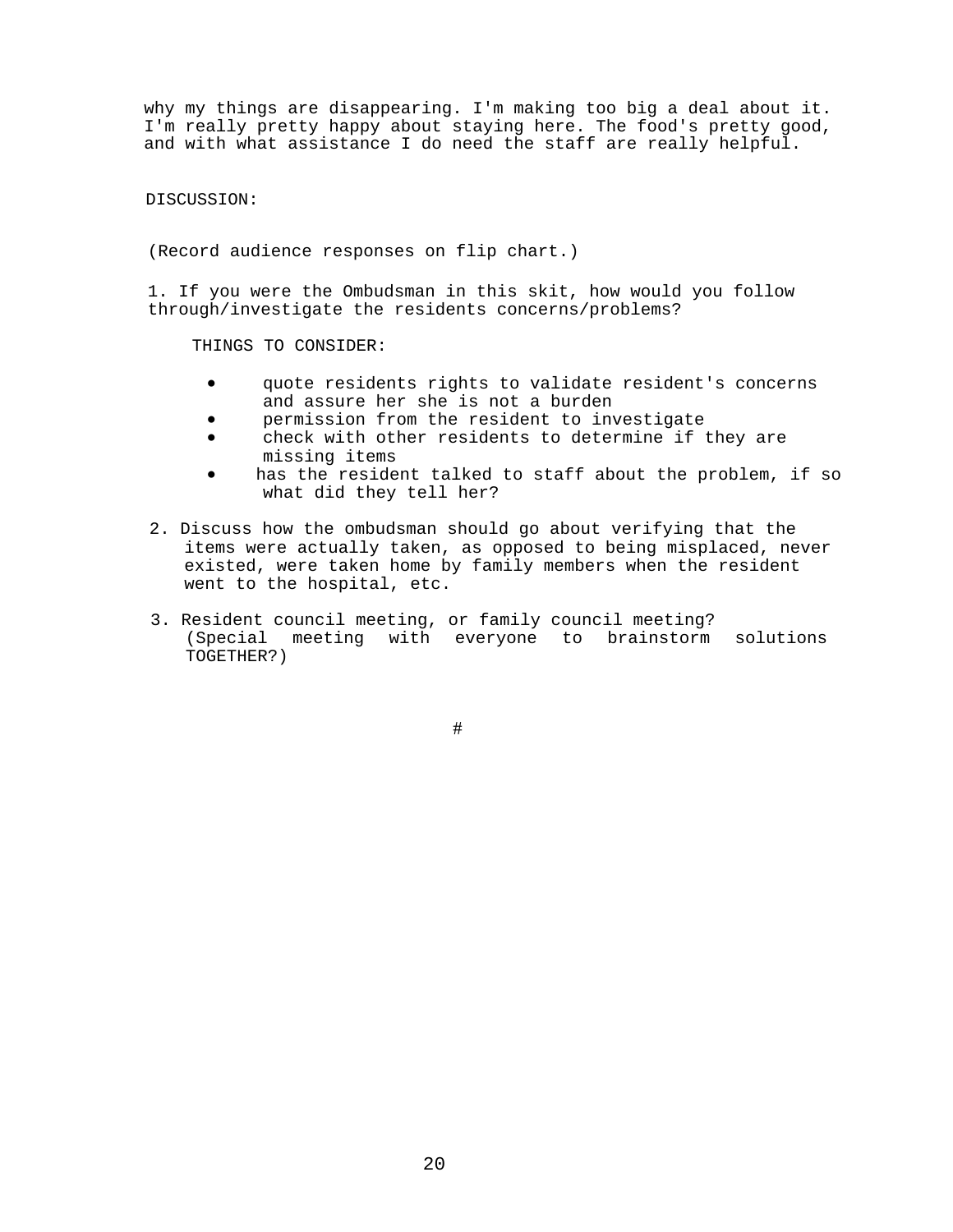why my things are disappearing. I'm making too big a deal about it. I'm really pretty happy about staying here. The food's pretty good, and with what assistance I do need the staff are really helpful.

DISCUSSION:

(Record audience responses on flip chart.)

1. If you were the Ombudsman in this skit, how would you follow through/investigate the residents concerns/problems?

THINGS TO CONSIDER:

- quote residents rights to validate resident's concerns and assure her she is not a burden
- permission from the resident to investigate
- check with other residents to determine if they are missing items
- has the resident talked to staff about the problem, if so what did they tell her?
- 2. Discuss how the ombudsman should go about verifying that the items were actually taken, as opposed to being misplaced, never existed, were taken home by family members when the resident went to the hospital, etc.
- 3. Resident council meeting, or family council meeting? (Special meeting with everyone to brainstorm solutions TOGETHER?)

#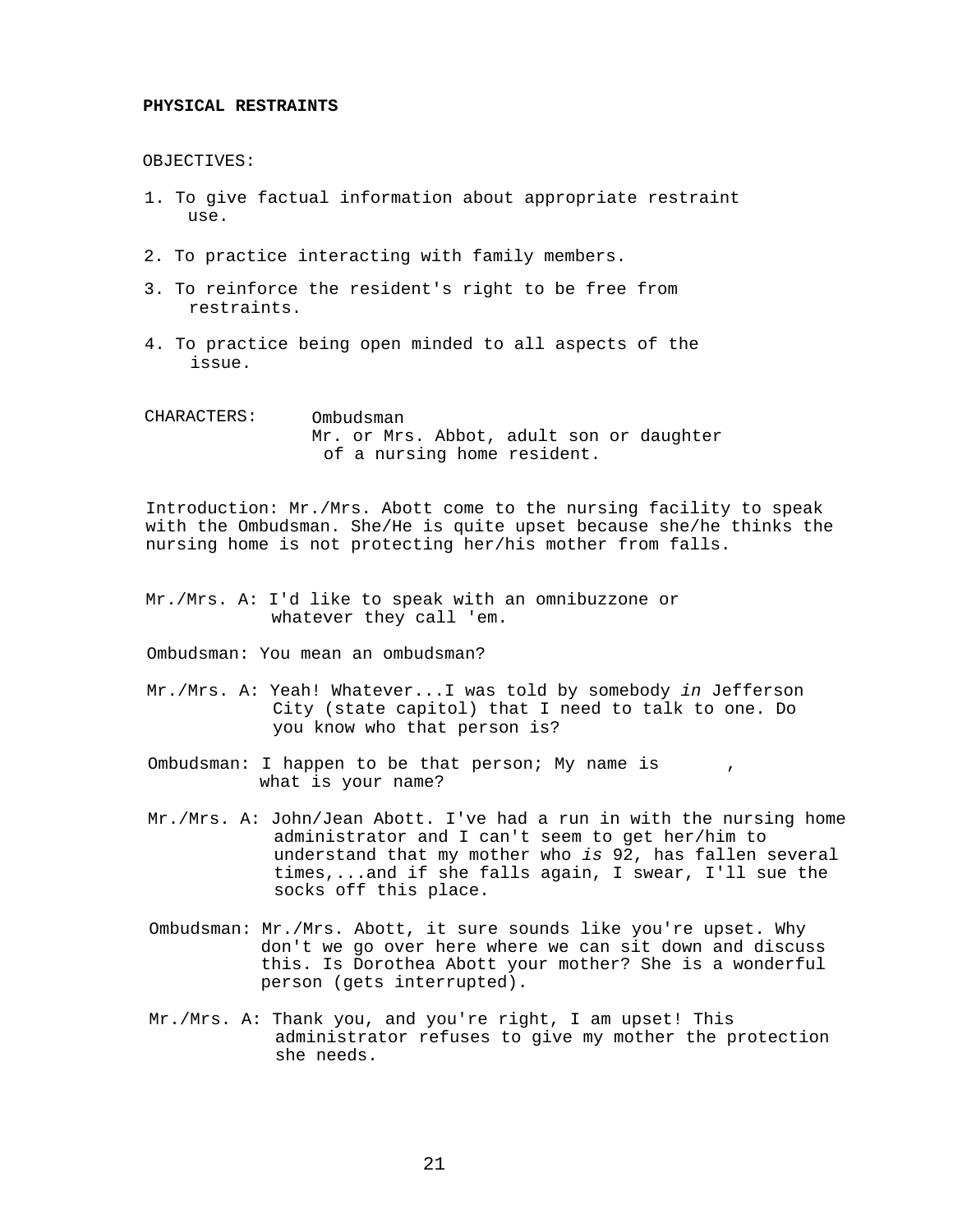#### **PHYSICAL RESTRAINTS**

OBJECTIVES:

- 1. To give factual information about appropriate restraint use.
- 2. To practice interacting with family members.
- 3. To reinforce the resident's right to be free from restraints.
- 4. To practice being open minded to all aspects of the issue.

| CHARACTERS: | Ombudsman |  |  |                             |  |  |  |                                          |
|-------------|-----------|--|--|-----------------------------|--|--|--|------------------------------------------|
|             |           |  |  |                             |  |  |  | Mr. or Mrs. Abbot, adult son or daughter |
|             |           |  |  | of a nursing home resident. |  |  |  |                                          |

Introduction: Mr./Mrs. Abott come to the nursing facility to speak with the Ombudsman. She/He is quite upset because she/he thinks the nursing home is not protecting her/his mother from falls.

Mr./Mrs. A: I'd like to speak with an omnibuzzone or whatever they call 'em.

Ombudsman: You mean an ombudsman?

- Mr./Mrs. A: Yeah! Whatever...I was told by somebody *in* Jefferson City (state capitol) that I need to talk to one. Do you know who that person is?
- Ombudsman: I happen to be that person; My name is , what is your name?
- Mr./Mrs. A: John/Jean Abott. I've had a run in with the nursing home administrator and I can't seem to get her/him to understand that my mother who *is* 92, has fallen several times,...and if she falls again, I swear, I'll sue the socks off this place.
- Ombudsman: Mr./Mrs. Abott, it sure sounds like you're upset. Why don't we go over here where we can sit down and discuss this. Is Dorothea Abott your mother? She is a wonderful person (gets interrupted).
- Mr./Mrs. A: Thank you, and you're right, I am upset! This administrator refuses to give my mother the protection she needs.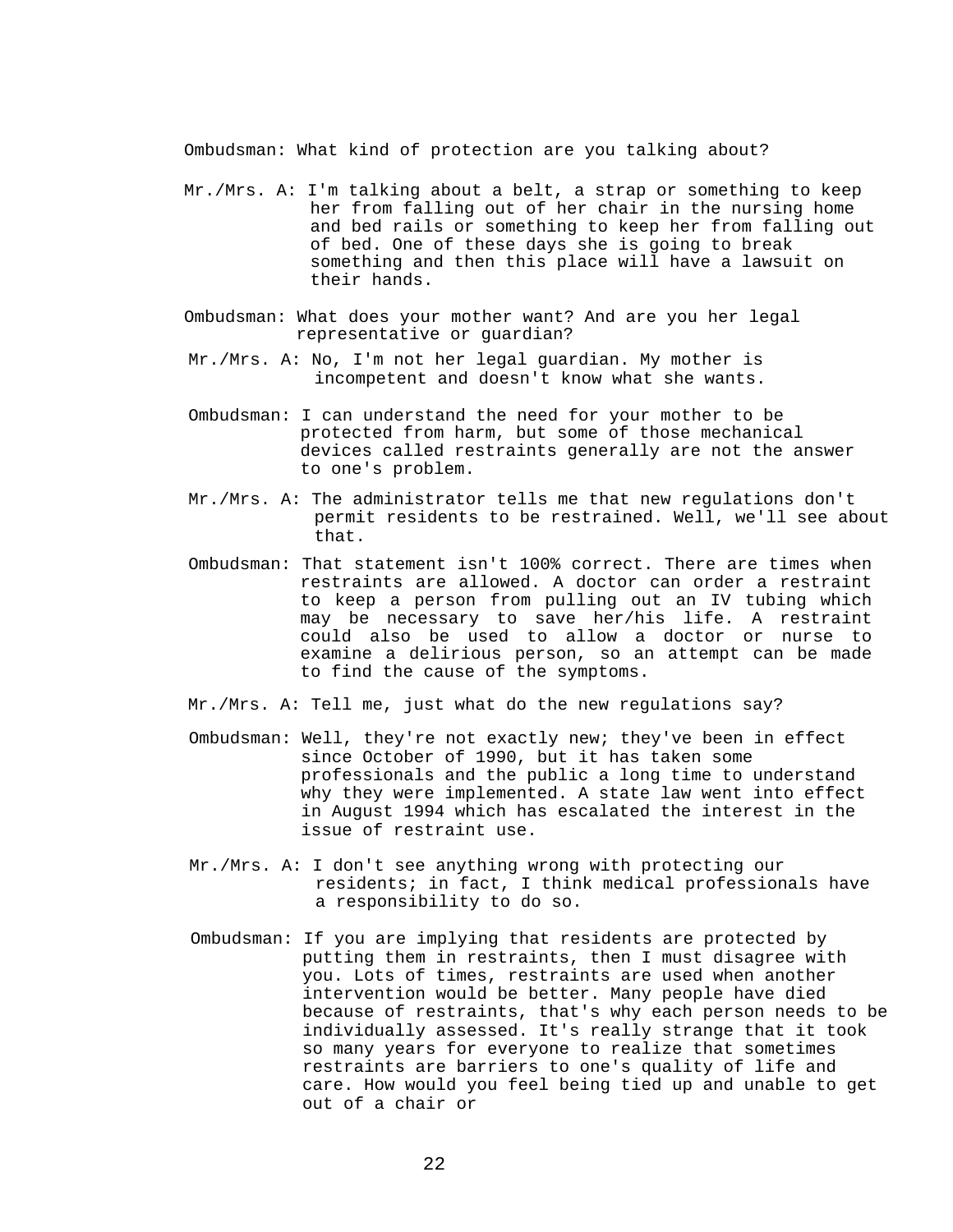Ombudsman: What kind of protection are you talking about?

- Mr./Mrs. A: I'm talking about a belt, a strap or something to keep her from falling out of her chair in the nursing home and bed rails or something to keep her from falling out of bed. One of these days she is going to break something and then this place will have a lawsuit on their hands.
- Ombudsman: What does your mother want? And are you her legal representative or guardian?
- Mr./Mrs. A: No, I'm not her legal guardian. My mother is incompetent and doesn't know what she wants.
- Ombudsman: I can understand the need for your mother to be protected from harm, but some of those mechanical devices called restraints generally are not the answer to one's problem.
- Mr./Mrs. A: The administrator tells me that new regulations don't permit residents to be restrained. Well, we'll see about that.
- Ombudsman: That statement isn't 100% correct. There are times when restraints are allowed. A doctor can order a restraint to keep a person from pulling out an IV tubing which may be necessary to save her/his life. A restraint could also be used to allow a doctor or nurse to examine a delirious person, so an attempt can be made to find the cause of the symptoms.
- Mr./Mrs. A: Tell me, just what do the new regulations say?
- Ombudsman: Well, they're not exactly new; they've been in effect since October of 1990, but it has taken some professionals and the public a long time to understand why they were implemented. A state law went into effect in August 1994 which has escalated the interest in the issue of restraint use.
- Mr./Mrs. A: I don't see anything wrong with protecting our residents; in fact, I think medical professionals have a responsibility to do so.
- Ombudsman: If you are implying that residents are protected by putting them in restraints, then I must disagree with you. Lots of times, restraints are used when another intervention would be better. Many people have died because of restraints, that's why each person needs to be individually assessed. It's really strange that it took so many years for everyone to realize that sometimes restraints are barriers to one's quality of life and care. How would you feel being tied up and unable to get out of a chair or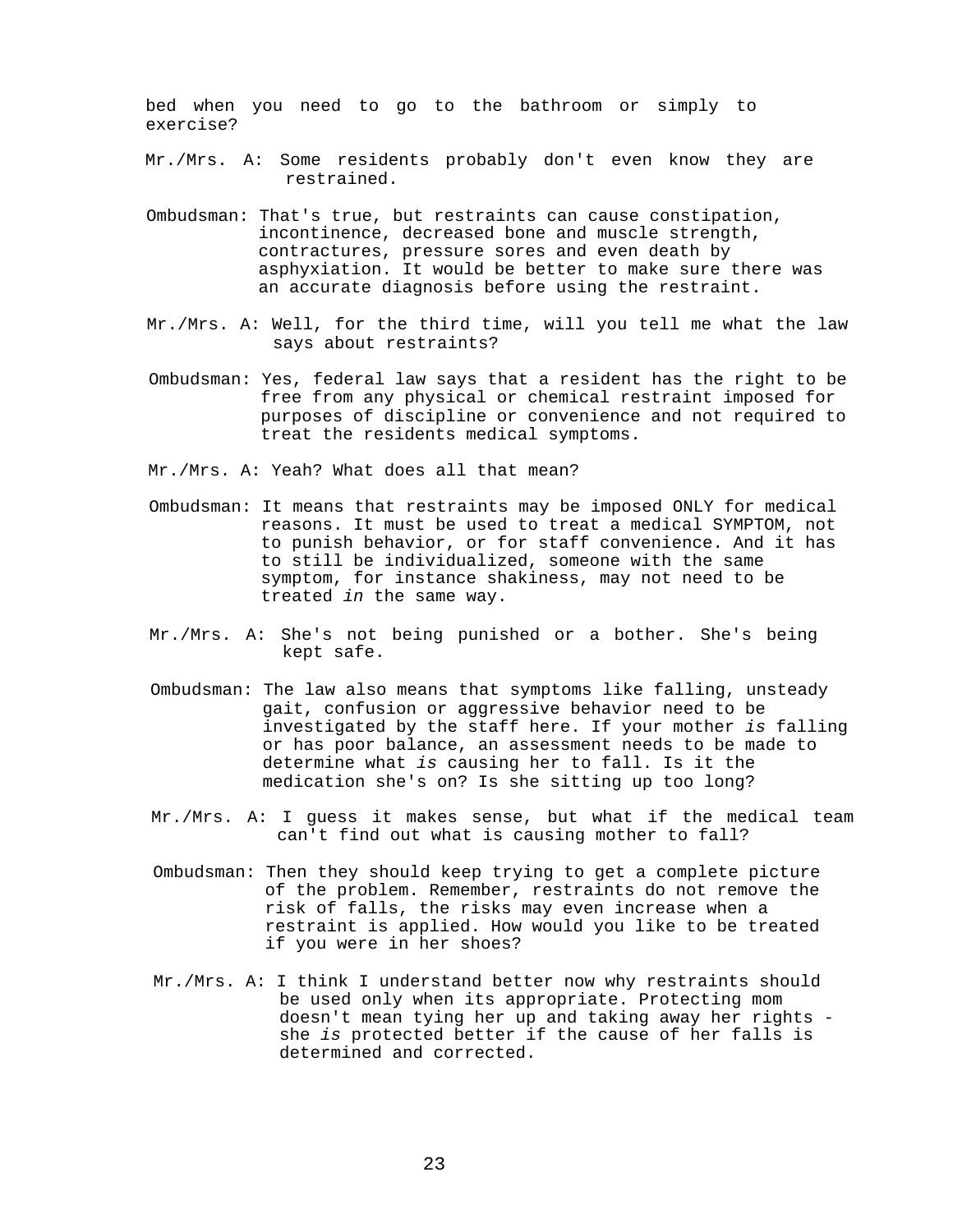bed when you need to go to the bathroom or simply to exercise?

Mr./Mrs. A: Some residents probably don't even know they are restrained.

- Ombudsman: That's true, but restraints can cause constipation, incontinence, decreased bone and muscle strength, contractures, pressure sores and even death by asphyxiation. It would be better to make sure there was an accurate diagnosis before using the restraint.
- Mr./Mrs. A: Well, for the third time, will you tell me what the law says about restraints?
- Ombudsman: Yes, federal law says that a resident has the right to be free from any physical or chemical restraint imposed for purposes of discipline or convenience and not required to treat the residents medical symptoms.

Mr./Mrs. A: Yeah? What does all that mean?

- Ombudsman: It means that restraints may be imposed ONLY for medical reasons. It must be used to treat a medical SYMPTOM, not to punish behavior, or for staff convenience. And it has to still be individualized, someone with the same symptom, for instance shakiness, may not need to be treated *in* the same way.
- Mr./Mrs. A: She's not being punished or a bother. She's being kept safe.
- Ombudsman: The law also means that symptoms like falling, unsteady gait, confusion or aggressive behavior need to be investigated by the staff here. If your mother *is* falling or has poor balance, an assessment needs to be made to determine what *is* causing her to fall. Is it the medication she's on? Is she sitting up too long?
- Mr./Mrs. A: I guess it makes sense, but what if the medical team can't find out what is causing mother to fall?
- Ombudsman: Then they should keep trying to get a complete picture of the problem. Remember, restraints do not remove the risk of falls, the risks may even increase when a restraint is applied. How would you like to be treated if you were in her shoes?
- Mr./Mrs. A: I think I understand better now why restraints should be used only when its appropriate. Protecting mom doesn't mean tying her up and taking away her rights she *is* protected better if the cause of her falls is determined and corrected.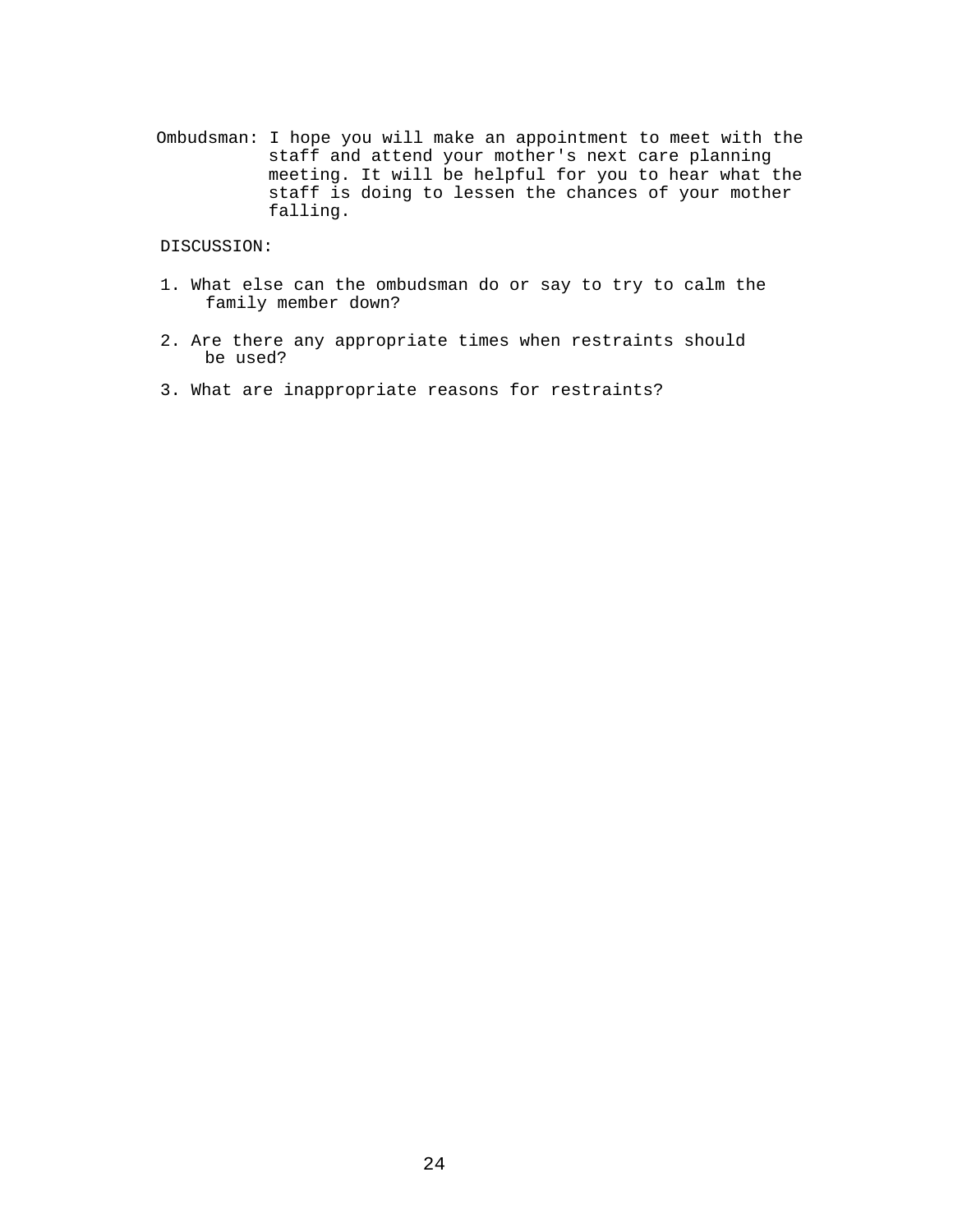Ombudsman: I hope you will make an appointment to meet with the staff and attend your mother's next care planning meeting. It will be helpful for you to hear what the staff is doing to lessen the chances of your mother falling.

# DISCUSSION:

- 1. What else can the ombudsman do or say to try to calm the family member down?
- 2. Are there any appropriate times when restraints should be used?
- 3. What are inappropriate reasons for restraints?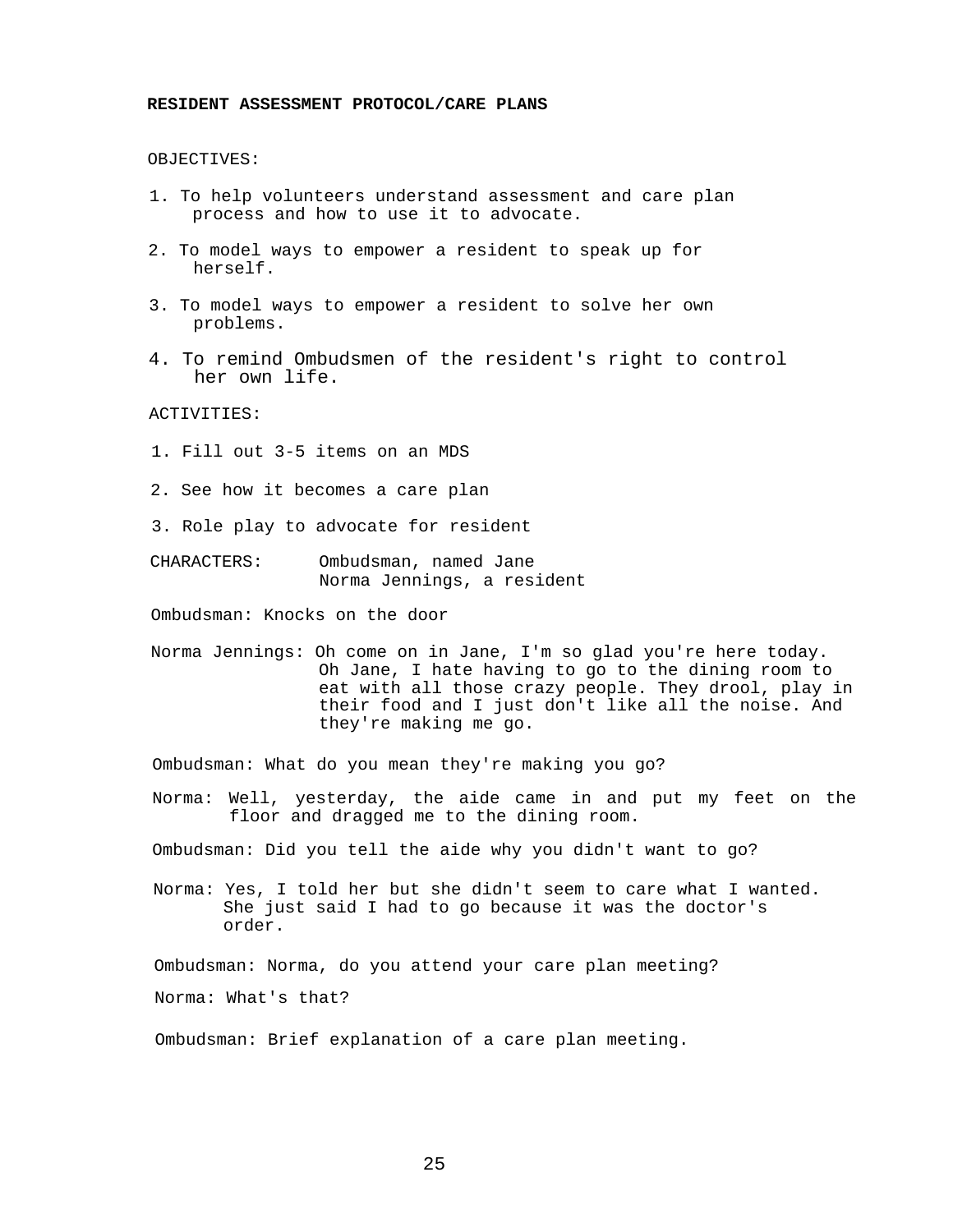## **RESIDENT ASSESSMENT PROTOCOL/CARE PLANS**

#### OBJECTIVES:

- 1. To help volunteers understand assessment and care plan process and how to use it to advocate.
- 2. To model ways to empower a resident to speak up for herself.
- 3. To model ways to empower a resident to solve her own problems.
- 4. To remind Ombudsmen of the resident's right to control her own life.

## ACTIVITIES:

- 1. Fill out 3-5 items on an MDS
- 2. See how it becomes a care plan
- 3. Role play to advocate for resident
- CHARACTERS: Ombudsman, named Jane Norma Jennings, a resident

Ombudsman: Knocks on the door

Norma Jennings: Oh come on in Jane, I'm so glad you're here today. Oh Jane, I hate having to go to the dining room to eat with all those crazy people. They drool, play in their food and I just don't like all the noise. And they're making me go.

Ombudsman: What do you mean they're making you go?

Norma: Well, yesterday, the aide came in and put my feet on the floor and dragged me to the dining room.

Ombudsman: Did you tell the aide why you didn't want to go?

Norma: Yes, I told her but she didn't seem to care what I wanted. She just said I had to go because it was the doctor's order.

Ombudsman: Norma, do you attend your care plan meeting?

Norma: What's that?

Ombudsman: Brief explanation of a care plan meeting.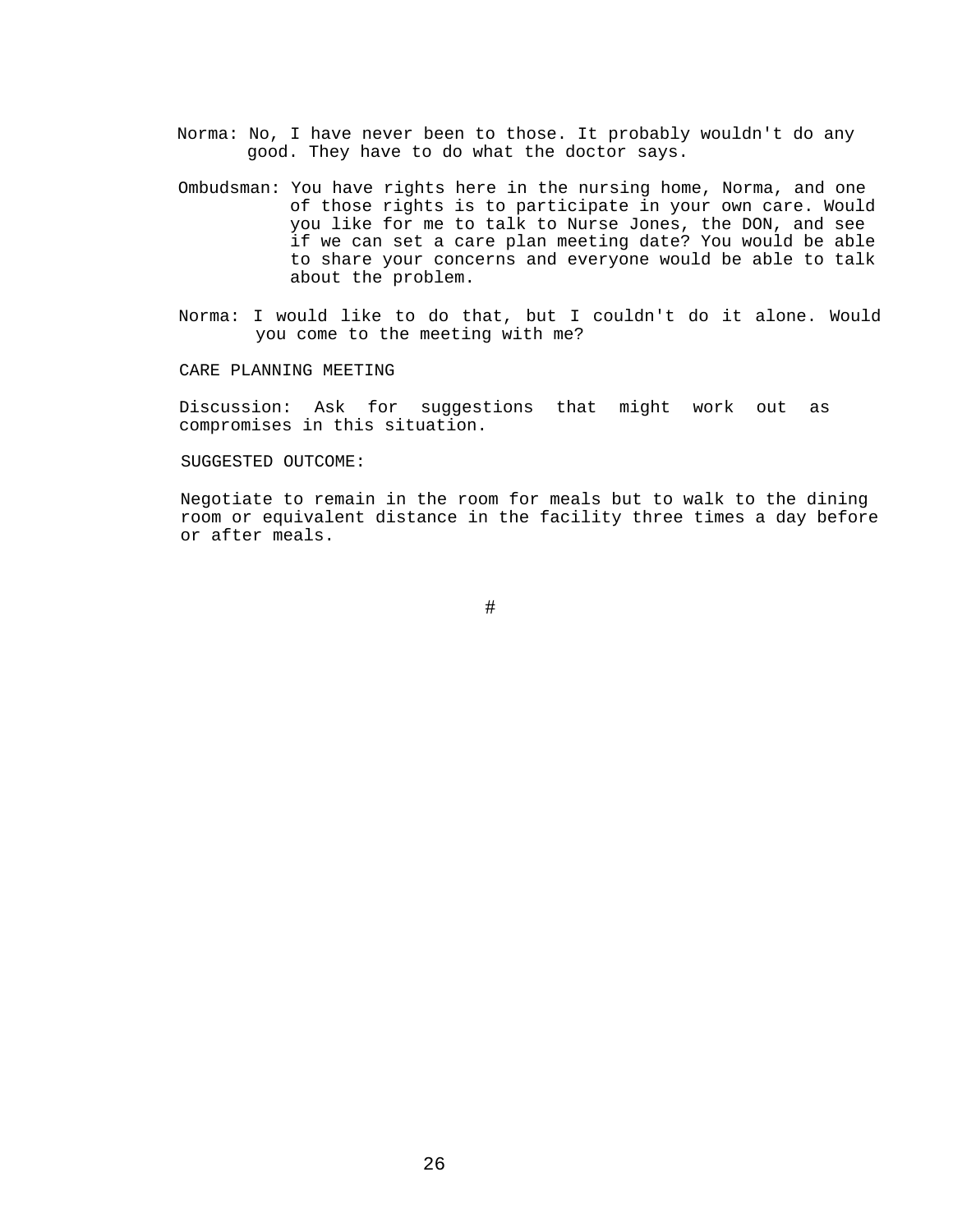- Norma: No, I have never been to those. It probably wouldn't do any good. They have to do what the doctor says.
- Ombudsman: You have rights here in the nursing home, Norma, and one of those rights is to participate in your own care. Would you like for me to talk to Nurse Jones, the DON, and see if we can set a care plan meeting date? You would be able to share your concerns and everyone would be able to talk about the problem.
- Norma: I would like to do that, but I couldn't do it alone. Would you come to the meeting with me?

CARE PLANNING MEETING

Discussion: Ask for suggestions that might work out as compromises in this situation.

# SUGGESTED OUTCOME:

Negotiate to remain in the room for meals but to walk to the dining room or equivalent distance in the facility three times a day before or after meals.

#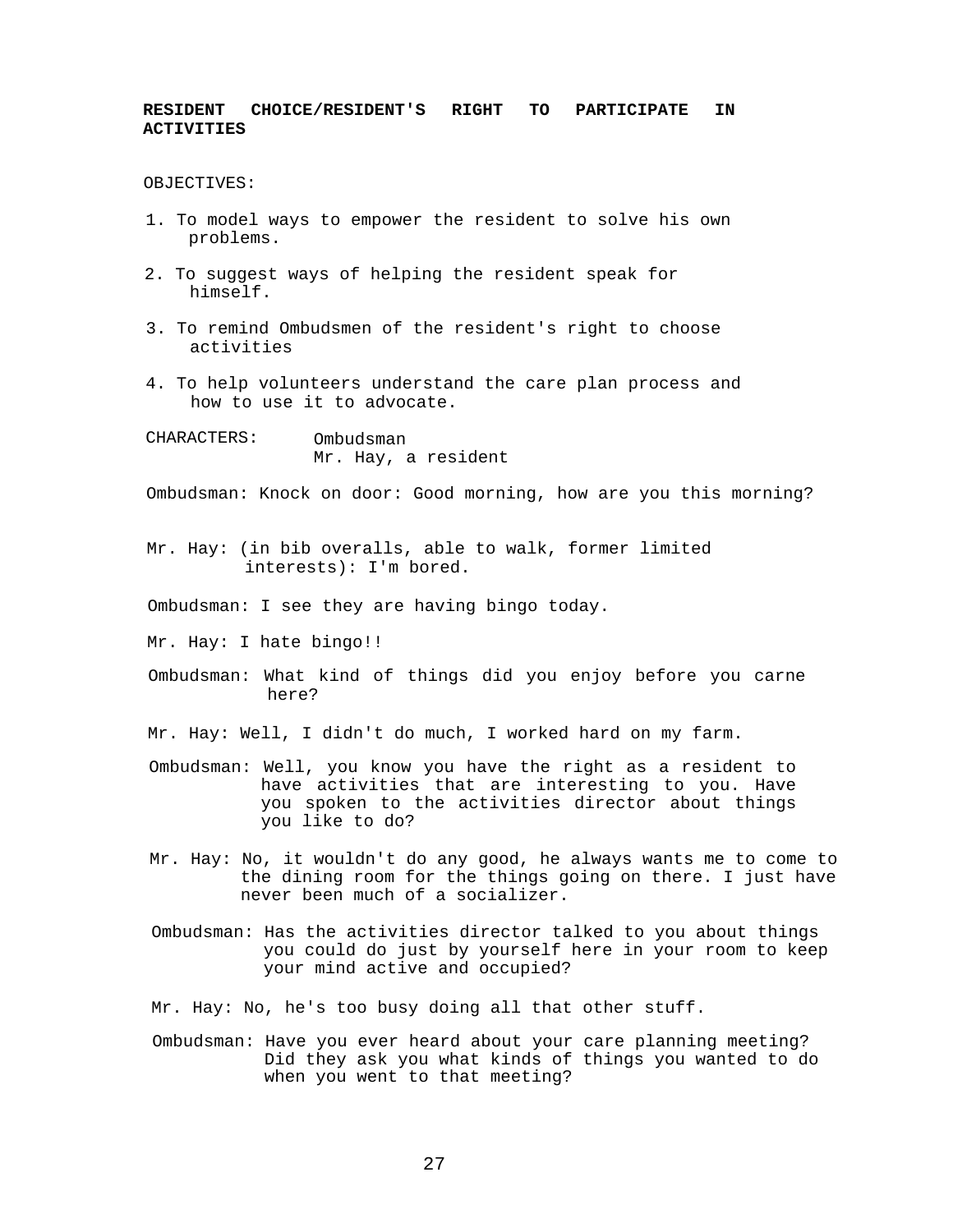# **RESIDENT CHOICE/RESIDENT'S RIGHT TO PARTICIPATE IN ACTIVITIES**

OBJECTIVES:

- 1. To model ways to empower the resident to solve his own problems.
- 2. To suggest ways of helping the resident speak for himself.
- 3. To remind Ombudsmen of the resident's right to choose activities
- 4. To help volunteers understand the care plan process and how to use it to advocate.

CHARACTERS: Ombudsman Mr. Hay, a resident

Ombudsman: Knock on door: Good morning, how are you this morning?

- Mr. Hay: (in bib overalls, able to walk, former limited interests): I'm bored.
- Ombudsman: I see they are having bingo today.
- Mr. Hay: I hate bingo!!
- Ombudsman: What kind of things did you enjoy before you carne here?
- Mr. Hay: Well, I didn't do much, I worked hard on my farm.
- Ombudsman: Well, you know you have the right as a resident to have activities that are interesting to you. Have you spoken to the activities director about things you like to do?
- Mr. Hay: No, it wouldn't do any good, he always wants me to come to the dining room for the things going on there. I just have never been much of a socializer.
- Ombudsman: Has the activities director talked to you about things you could do just by yourself here in your room to keep your mind active and occupied?

Mr. Hay: No, he's too busy doing all that other stuff.

Ombudsman: Have you ever heard about your care planning meeting? Did they ask you what kinds of things you wanted to do when you went to that meeting?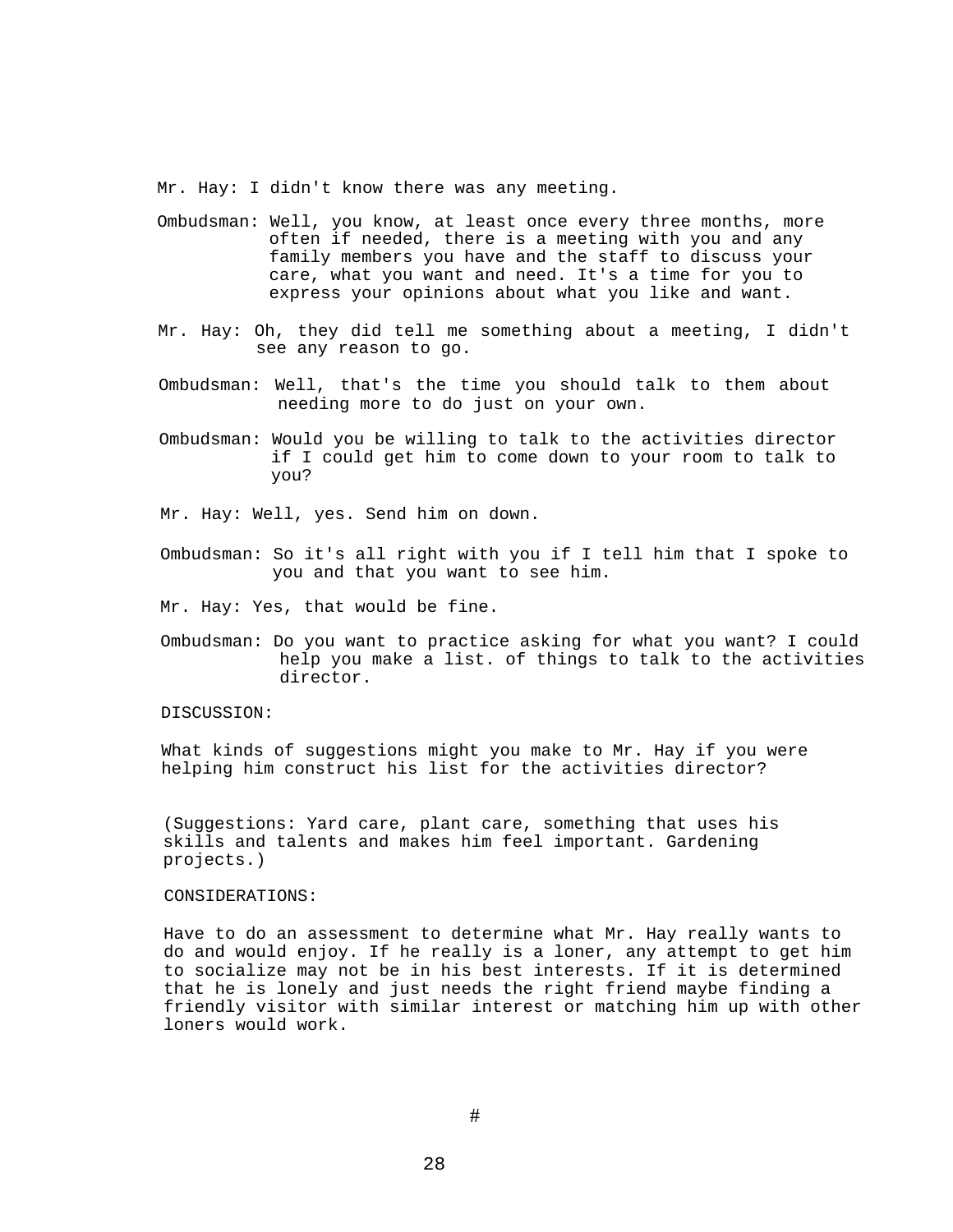Mr. Hay: I didn't know there was any meeting.

- Ombudsman: Well, you know, at least once every three months, more often if needed, there is a meeting with you and any family members you have and the staff to discuss your care, what you want and need. It's a time for you to express your opinions about what you like and want.
- Mr. Hay: Oh, they did tell me something about a meeting, I didn't see any reason to go.
- Ombudsman: Well, that's the time you should talk to them about needing more to do just on your own.
- Ombudsman: Would you be willing to talk to the activities director if I could get him to come down to your room to talk to you?
- Mr. Hay: Well, yes. Send him on down.
- Ombudsman: So it's all right with you if I tell him that I spoke to you and that you want to see him.
- Mr. Hay: Yes, that would be fine.
- Ombudsman: Do you want to practice asking for what you want? I could help you make a list. of things to talk to the activities director.

#### DISCUSSION:

What kinds of suggestions might you make to Mr. Hay if you were helping him construct his list for the activities director?

(Suggestions: Yard care, plant care, something that uses his skills and talents and makes him feel important. Gardening projects.)

## CONSIDERATIONS:

Have to do an assessment to determine what Mr. Hay really wants to do and would enjoy. If he really is a loner, any attempt to get him to socialize may not be in his best interests. If it is determined that he is lonely and just needs the right friend maybe finding a friendly visitor with similar interest or matching him up with other loners would work.

#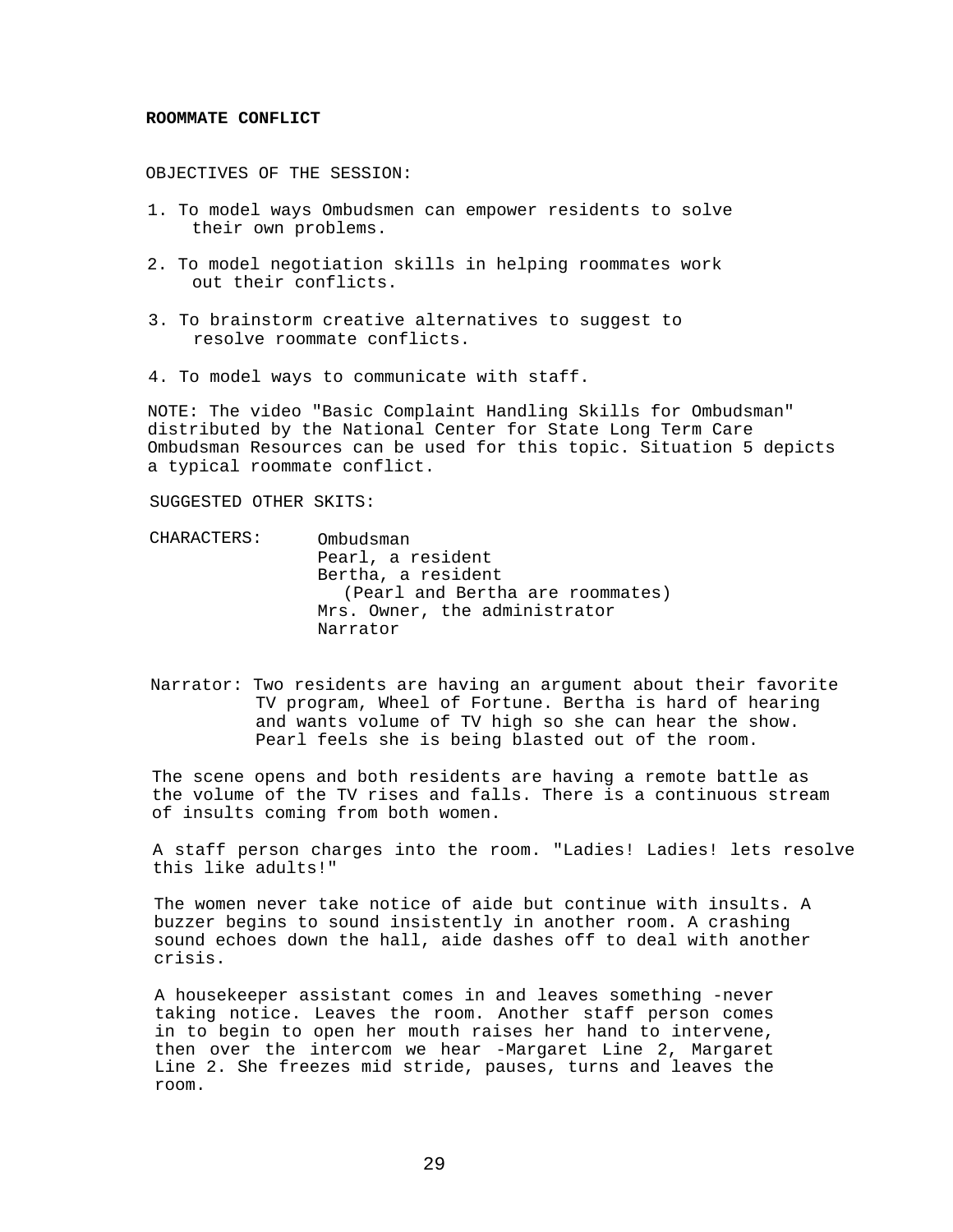#### **ROOMMATE CONFLICT**

OBJECTIVES OF THE SESSION:

- 1. To model ways Ombudsmen can empower residents to solve their own problems.
- 2. To model negotiation skills in helping roommates work out their conflicts.
- 3. To brainstorm creative alternatives to suggest to resolve roommate conflicts.
- 4. To model ways to communicate with staff.

NOTE: The video "Basic Complaint Handling Skills for Ombudsman" distributed by the National Center for State Long Term Care Ombudsman Resources can be used for this topic. Situation 5 depicts a typical roommate conflict.

SUGGESTED OTHER SKITS:

CHARACTERS: Ombudsman Pearl, a resident Bertha, a resident (Pearl and Bertha are roommates) Mrs. Owner, the administrator Narrator

Narrator: Two residents are having an argument about their favorite TV program, Wheel of Fortune. Bertha is hard of hearing and wants volume of TV high so she can hear the show. Pearl feels she is being blasted out of the room.

The scene opens and both residents are having a remote battle as the volume of the TV rises and falls. There is a continuous stream of insults coming from both women.

A staff person charges into the room. "Ladies! Ladies! lets resolve this like adults!"

The women never take notice of aide but continue with insults. A buzzer begins to sound insistently in another room. A crashing sound echoes down the hall, aide dashes off to deal with another crisis.

A housekeeper assistant comes in and leaves something -never taking notice. Leaves the room. Another staff person comes in to begin to open her mouth raises her hand to intervene, then over the intercom we hear -Margaret Line 2, Margaret Line 2. She freezes mid stride, pauses, turns and leaves the room.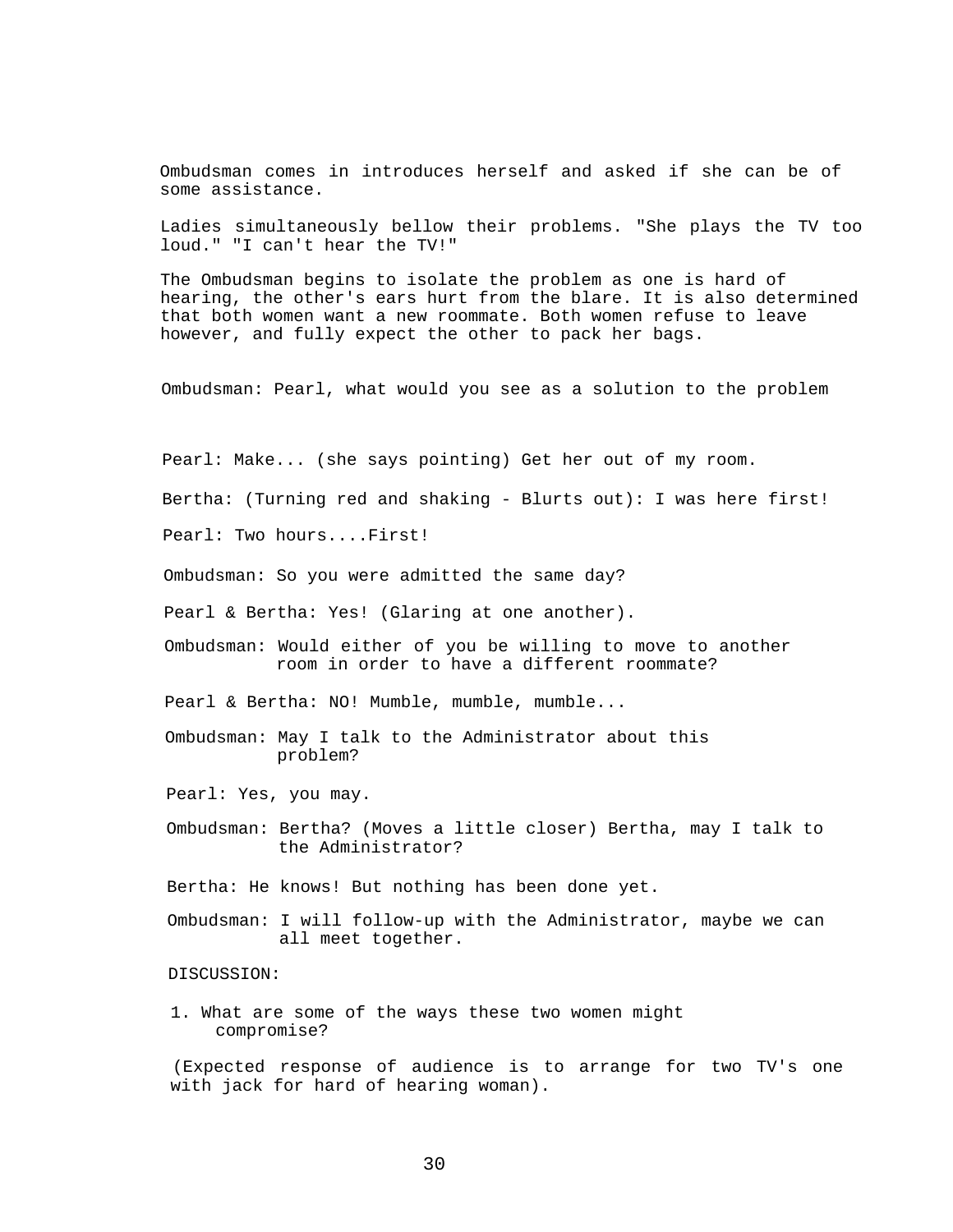Ombudsman comes in introduces herself and asked if she can be of some assistance.

Ladies simultaneously bellow their problems. "She plays the TV too loud." "I can't hear the TV!"

The Ombudsman begins to isolate the problem as one is hard of hearing, the other's ears hurt from the blare. It is also determined that both women want a new roommate. Both women refuse to leave however, and fully expect the other to pack her bags.

Ombudsman: Pearl, what would you see as a solution to the problem

Pearl: Make... (she says pointing) Get her out of my room.

Bertha: (Turning red and shaking - Blurts out): I was here first!

Pearl: Two hours....First!

Ombudsman: So you were admitted the same day?

Pearl & Bertha: Yes! (Glaring at one another).

Ombudsman: Would either of you be willing to move to another room in order to have a different roommate?

Pearl & Bertha: NO! Mumble, mumble, mumble...

Ombudsman: May I talk to the Administrator about this problem?

Pearl: Yes, you may.

Ombudsman: Bertha? (Moves a little closer) Bertha, may I talk to the Administrator?

Bertha: He knows! But nothing has been done yet.

Ombudsman: I will follow-up with the Administrator, maybe we can all meet together.

# DISCUSSION:

1. What are some of the ways these two women might compromise?

(Expected response of audience is to arrange for two TV's one with jack for hard of hearing woman).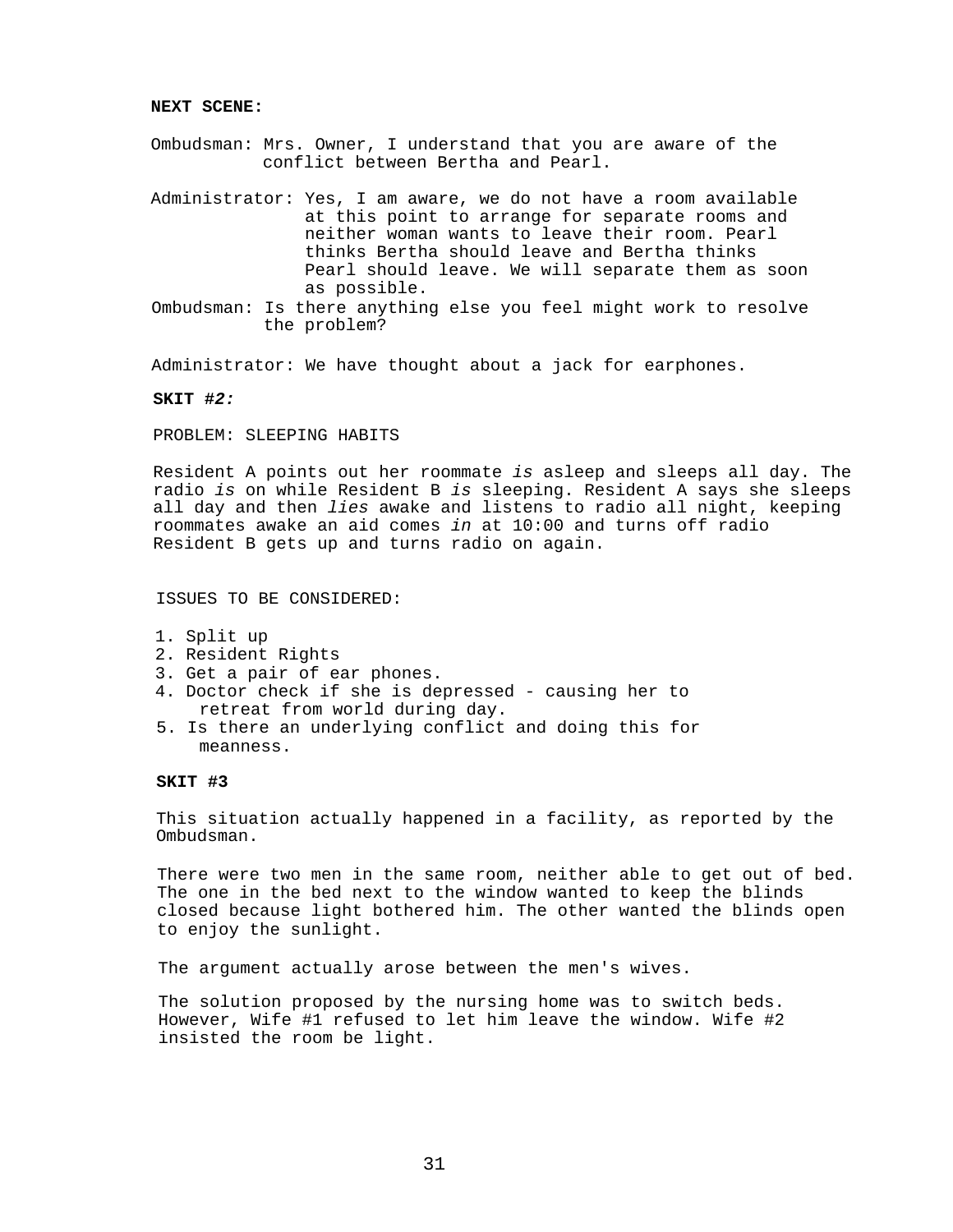#### **NEXT SCENE:**

- Ombudsman: Mrs. Owner, I understand that you are aware of the conflict between Bertha and Pearl.
- Administrator: Yes, I am aware, we do not have a room available at this point to arrange for separate rooms and neither woman wants to leave their room. Pearl thinks Bertha should leave and Bertha thinks Pearl should leave. We will separate them as soon as possible.
- Ombudsman: Is there anything else you feel might work to resolve the problem?

Administrator: We have thought about a jack for earphones.

#### **SKIT #***2:*

## PROBLEM: SLEEPING HABITS

Resident A points out her roommate *is* asleep and sleeps all day. The radio *is* on while Resident B *is* sleeping. Resident A says she sleeps all day and then *lies* awake and listens to radio all night, keeping roommates awake an aid comes *in* at 10:00 and turns off radio Resident B gets up and turns radio on again.

## ISSUES TO BE CONSIDERED:

- 1. Split up
- 2. Resident Rights
- 3. Get a pair of ear phones.
- 4. Doctor check if she is depressed causing her to retreat from world during day.
- 5. Is there an underlying conflict and doing this for meanness.

## **SKIT #3**

This situation actually happened in a facility, as reported by the Ombudsman.

There were two men in the same room, neither able to get out of bed. The one in the bed next to the window wanted to keep the blinds closed because light bothered him. The other wanted the blinds open to enjoy the sunlight.

The argument actually arose between the men's wives.

The solution proposed by the nursing home was to switch beds. However, Wife #1 refused to let him leave the window. Wife #2 insisted the room be light.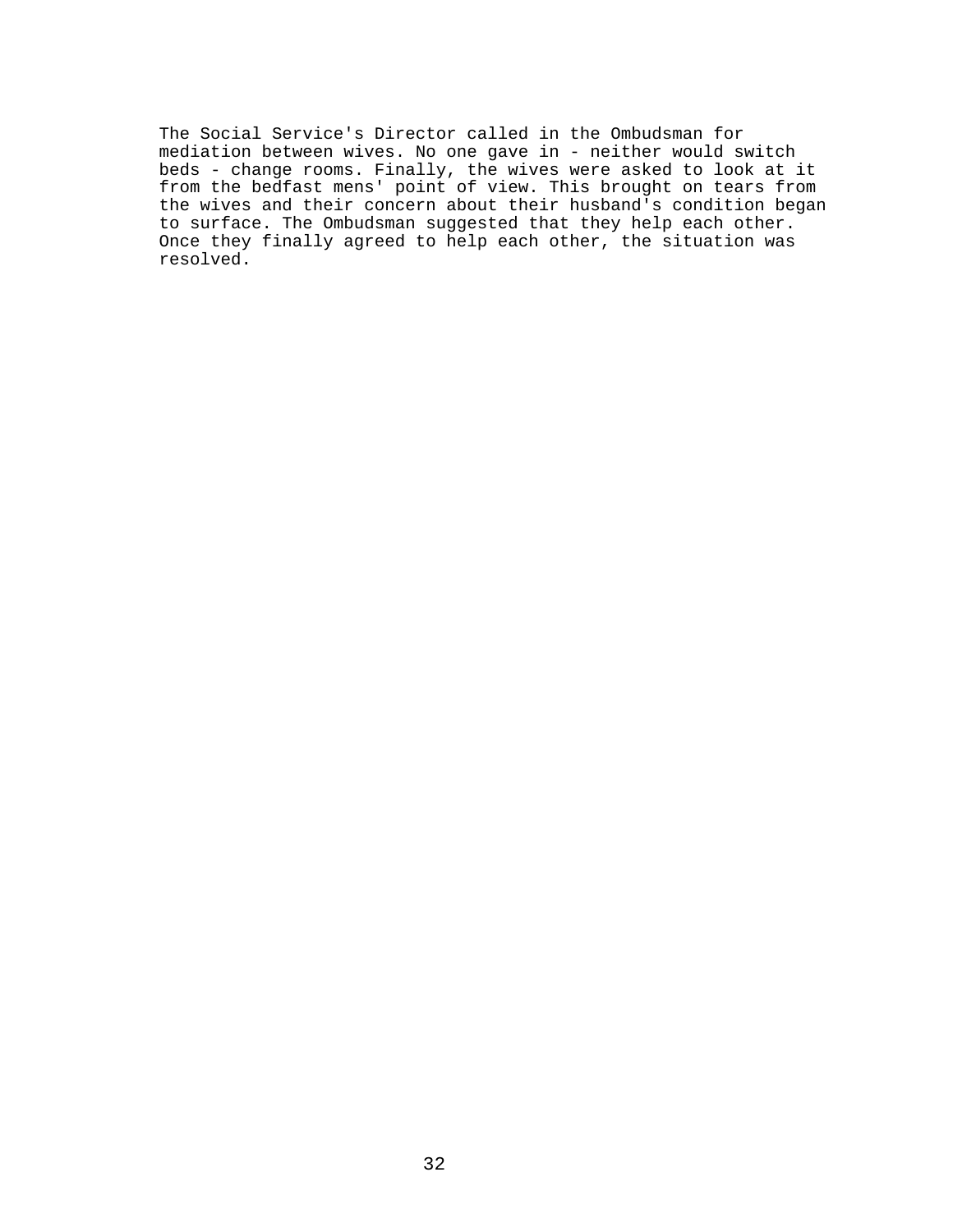The Social Service's Director called in the Ombudsman for mediation between wives. No one gave in - neither would switch beds - change rooms. Finally, the wives were asked to look at it from the bedfast mens' point of view. This brought on tears from the wives and their concern about their husband's condition began to surface. The Ombudsman suggested that they help each other. Once they finally agreed to help each other, the situation was resolved.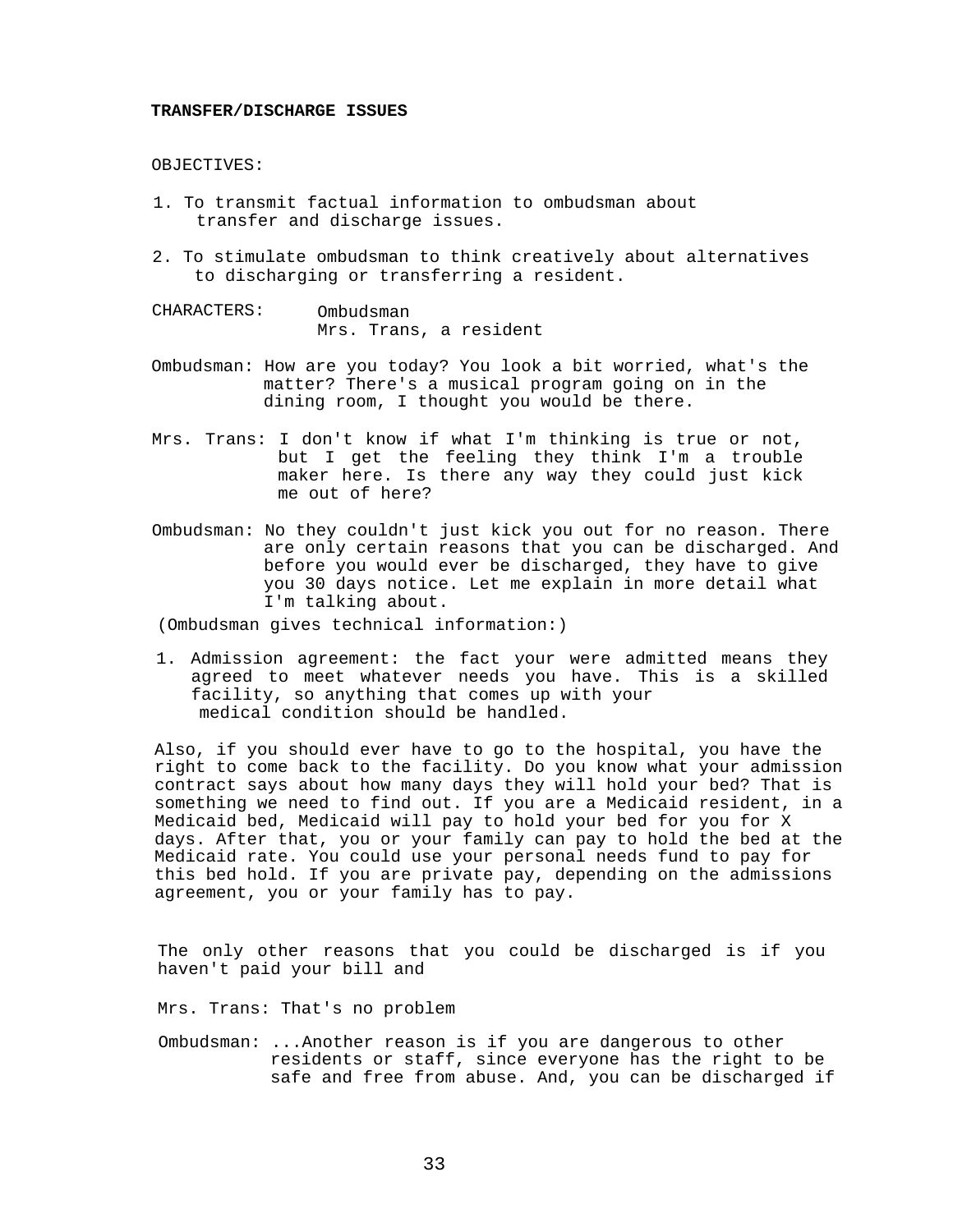#### **TRANSFER/DISCHARGE ISSUES**

## OBJECTIVES:

- 1. To transmit factual information to ombudsman about transfer and discharge issues.
- 2. To stimulate ombudsman to think creatively about alternatives to discharging or transferring a resident.

CHARACTERS: Ombudsman Mrs. Trans, a resident

- Ombudsman: How are you today? You look a bit worried, what's the matter? There's a musical program going on in the dining room, I thought you would be there.
- Mrs. Trans: I don't know if what I'm thinking is true or not, but I get the feeling they think I'm a trouble maker here. Is there any way they could just kick me out of here?
- Ombudsman: No they couldn't just kick you out for no reason. There are only certain reasons that you can be discharged. And before you would ever be discharged, they have to give you 30 days notice. Let me explain in more detail what I'm talking about.

(Ombudsman gives technical information:)

1. Admission agreement: the fact your were admitted means they agreed to meet whatever needs you have. This is a skilled facility, so anything that comes up with your medical condition should be handled.

Also, if you should ever have to go to the hospital, you have the right to come back to the facility. Do you know what your admission contract says about how many days they will hold your bed? That is something we need to find out. If you are a Medicaid resident, in a Medicaid bed, Medicaid will pay to hold your bed for you for X days. After that, you or your family can pay to hold the bed at the Medicaid rate. You could use your personal needs fund to pay for this bed hold. If you are private pay, depending on the admissions agreement, you or your family has to pay.

The only other reasons that you could be discharged is if you haven't paid your bill and

Mrs. Trans: That's no problem

Ombudsman: ...Another reason is if you are dangerous to other residents or staff, since everyone has the right to be safe and free from abuse. And, you can be discharged if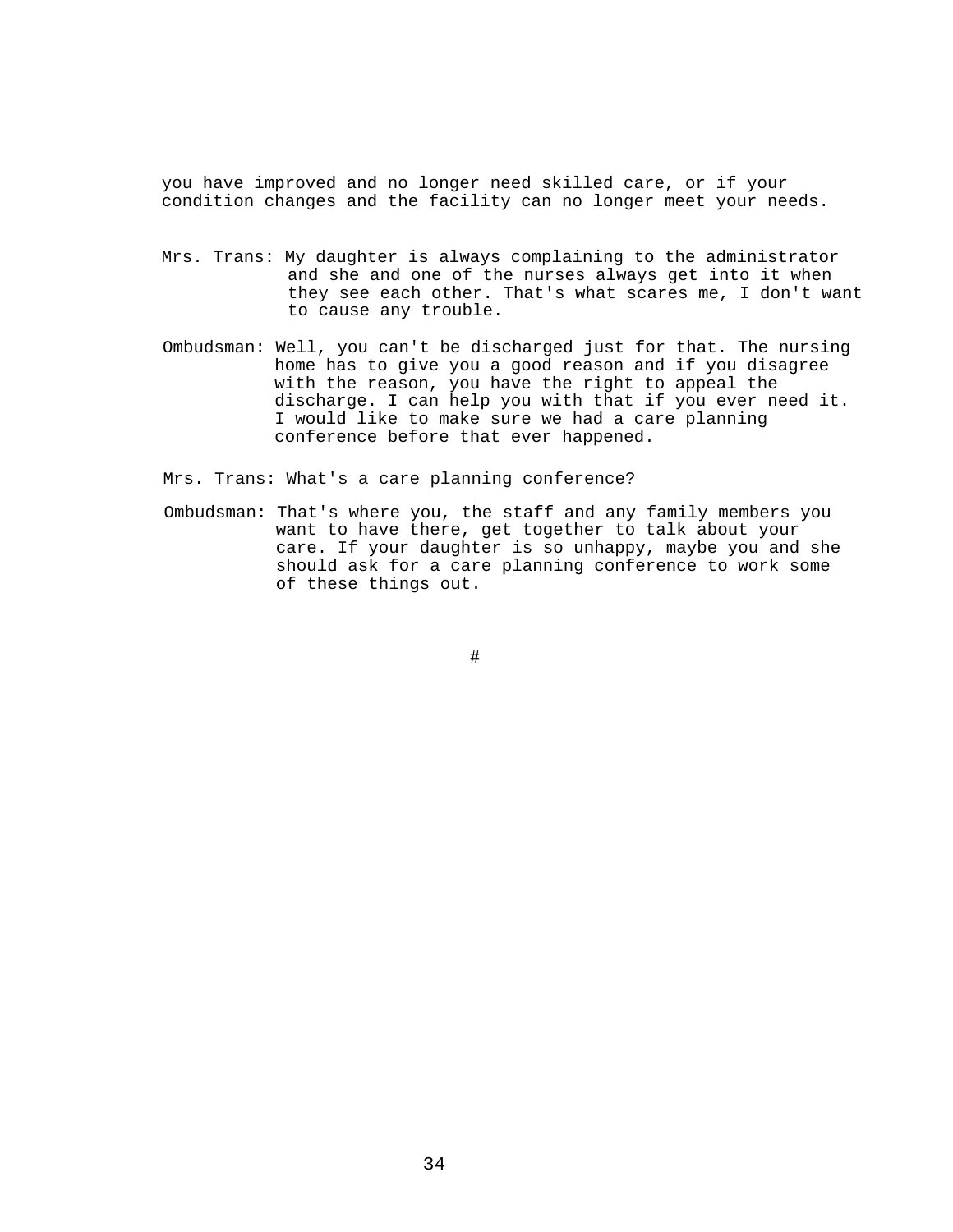you have improved and no longer need skilled care, or if your condition changes and the facility can no longer meet your needs.

- Mrs. Trans: My daughter is always complaining to the administrator and she and one of the nurses always get into it when they see each other. That's what scares me, I don't want to cause any trouble.
- Ombudsman: Well, you can't be discharged just for that. The nursing home has to give you a good reason and if you disagree with the reason, you have the right to appeal the discharge. I can help you with that if you ever need it. I would like to make sure we had a care planning conference before that ever happened.

Mrs. Trans: What's a care planning conference?

Ombudsman: That's where you, the staff and any family members you want to have there, get together to talk about your care. If your daughter is so unhappy, maybe you and she should ask for a care planning conference to work some of these things out.

#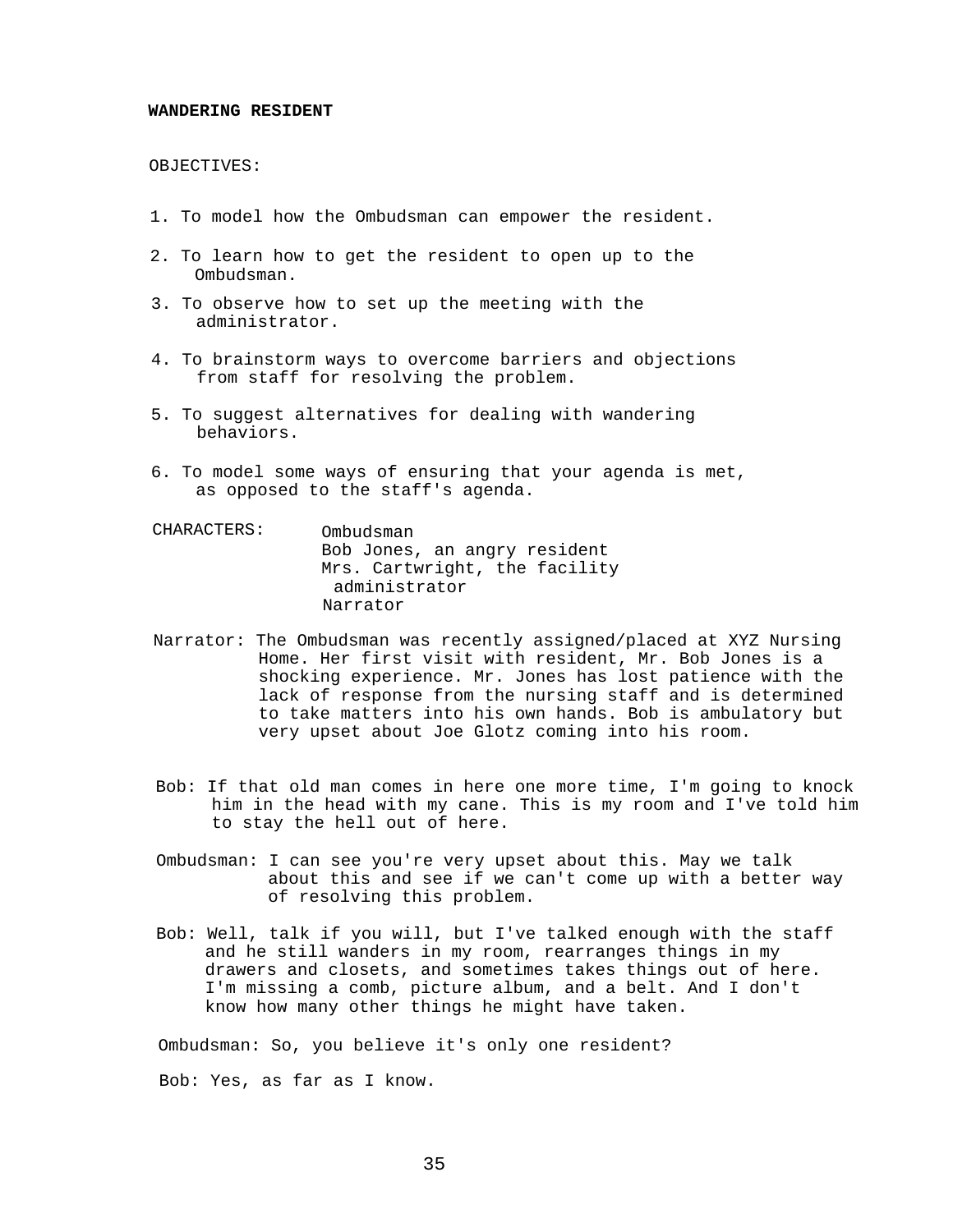#### **WANDERING RESIDENT**

## OBJECTIVES:

- 1. To model how the Ombudsman can empower the resident.
- 2. To learn how to get the resident to open up to the Ombudsman.
- 3. To observe how to set up the meeting with the administrator.
- 4. To brainstorm ways to overcome barriers and objections from staff for resolving the problem.
- 5. To suggest alternatives for dealing with wandering behaviors.
- 6. To model some ways of ensuring that your agenda is met, as opposed to the staff's agenda.
- CHARACTERS: Ombudsman Bob Jones, an angry resident Mrs. Cartwright, the facility administrator Narrator
- Narrator: The Ombudsman was recently assigned/placed at XYZ Nursing Home. Her first visit with resident, Mr. Bob Jones is a shocking experience. Mr. Jones has lost patience with the lack of response from the nursing staff and is determined to take matters into his own hands. Bob is ambulatory but very upset about Joe Glotz coming into his room.
- Bob: If that old man comes in here one more time, I'm going to knock him in the head with my cane. This is my room and I've told him to stay the hell out of here.
- Ombudsman: I can see you're very upset about this. May we talk about this and see if we can't come up with a better way of resolving this problem.
- Bob: Well, talk if you will, but I've talked enough with the staff and he still wanders in my room, rearranges things in my drawers and closets, and sometimes takes things out of here. I'm missing a comb, picture album, and a belt. And I don't know how many other things he might have taken.

Ombudsman: So, you believe it's only one resident?

Bob: Yes, as far as I know.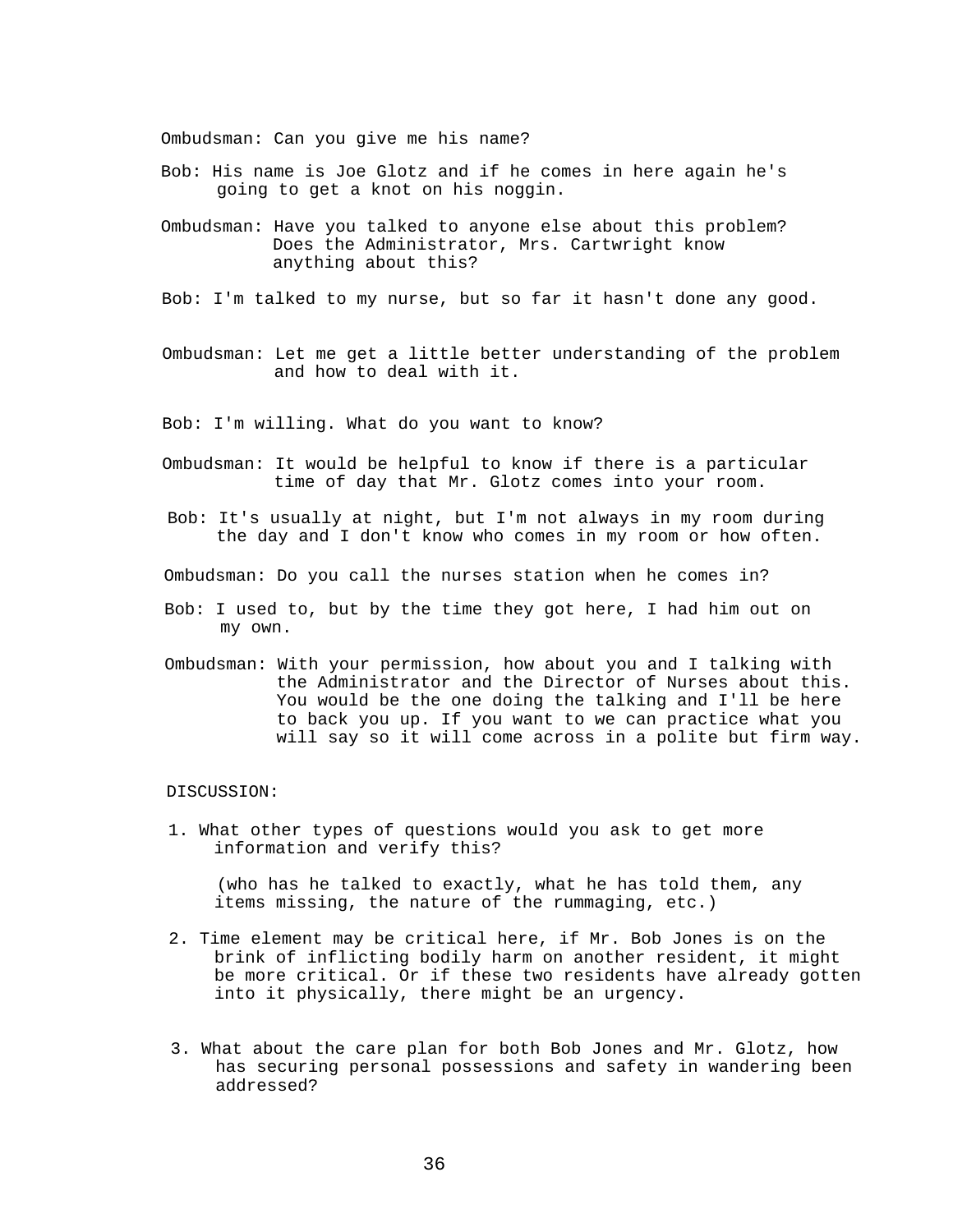Ombudsman: Can you give me his name?

- Bob: His name is Joe Glotz and if he comes in here again he's going to get a knot on his noggin.
- Ombudsman: Have you talked to anyone else about this problem? Does the Administrator, Mrs. Cartwright know anything about this?
- Bob: I'm talked to my nurse, but so far it hasn't done any good.
- Ombudsman: Let me get a little better understanding of the problem and how to deal with it.

Bob: I'm willing. What do you want to know?

- Ombudsman: It would be helpful to know if there is a particular time of day that Mr. Glotz comes into your room.
- Bob: It's usually at night, but I'm not always in my room during the day and I don't know who comes in my room or how often.

Ombudsman: Do you call the nurses station when he comes in?

- Bob: I used to, but by the time they got here, I had him out on my own.
- Ombudsman: With your permission, how about you and I talking with the Administrator and the Director of Nurses about this. You would be the one doing the talking and I'll be here to back you up. If you want to we can practice what you will say so it will come across in a polite but firm way.

#### DISCUSSION:

1. What other types of questions would you ask to get more information and verify this?

(who has he talked to exactly, what he has told them, any items missing, the nature of the rummaging, etc.)

- 2. Time element may be critical here, if Mr. Bob Jones is on the brink of inflicting bodily harm on another resident, it might be more critical. Or if these two residents have already gotten into it physically, there might be an urgency.
- 3. What about the care plan for both Bob Jones and Mr. Glotz, how has securing personal possessions and safety in wandering been addressed?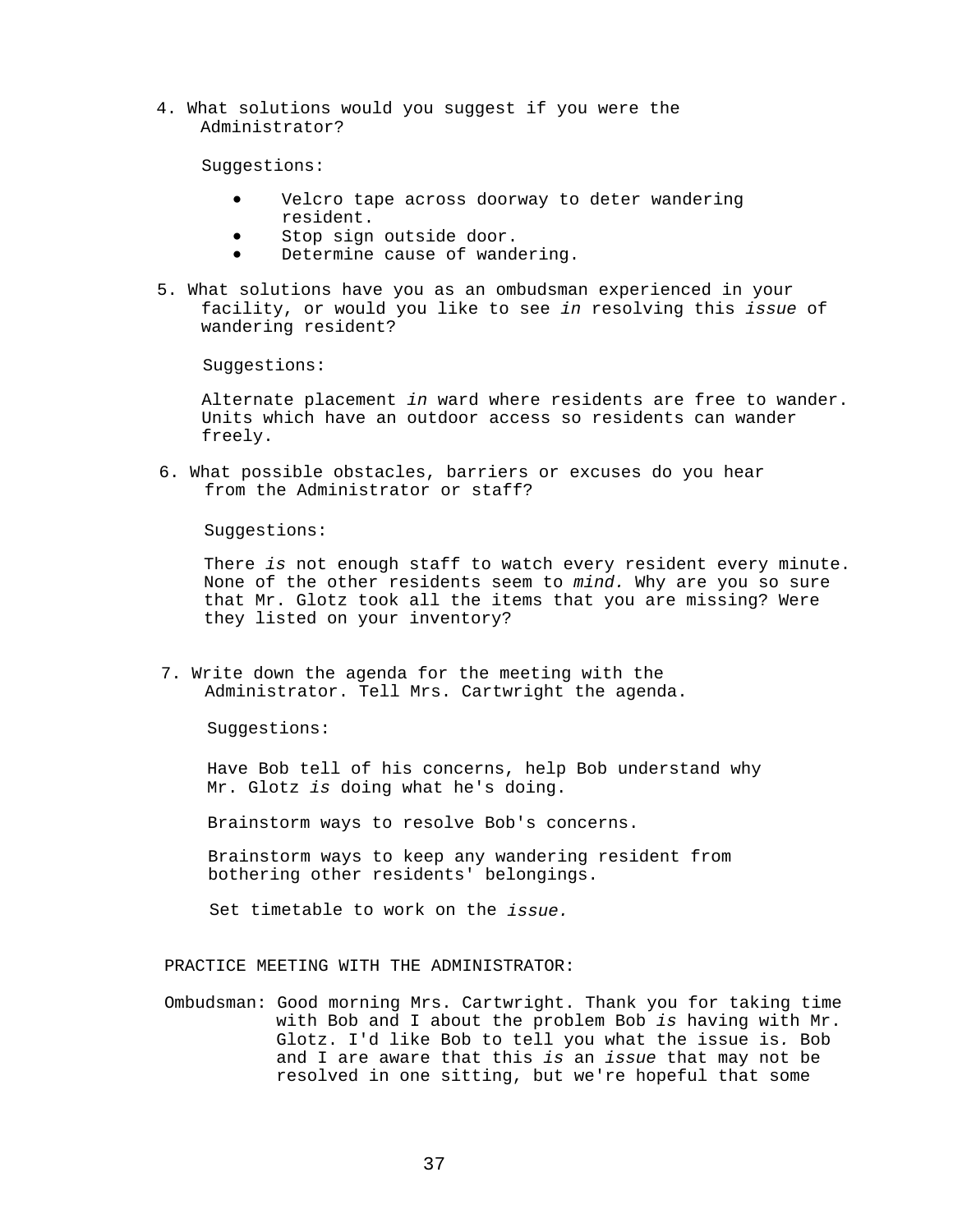4. What solutions would you suggest if you were the Administrator?

Suggestions:

- Velcro tape across doorway to deter wandering resident.
- Stop sign outside door.
- Determine cause of wandering.
- 5. What solutions have you as an ombudsman experienced in your facility, or would you like to see *in* resolving this *issue* of wandering resident?

Suggestions:

Alternate placement *in* ward where residents are free to wander. Units which have an outdoor access so residents can wander freely.

6. What possible obstacles, barriers or excuses do you hear from the Administrator or staff?

Suggestions:

There *is* not enough staff to watch every resident every minute. None of the other residents seem to *mind.* Why are you so sure that Mr. Glotz took all the items that you are missing? Were they listed on your inventory?

7. Write down the agenda for the meeting with the Administrator. Tell Mrs. Cartwright the agenda.

Suggestions:

Have Bob tell of his concerns, help Bob understand why Mr. Glotz *is* doing what he's doing.

Brainstorm ways to resolve Bob's concerns.

Brainstorm ways to keep any wandering resident from bothering other residents' belongings.

Set timetable to work on the *issue.*

## PRACTICE MEETING WITH THE ADMINISTRATOR:

Ombudsman: Good morning Mrs. Cartwright. Thank you for taking time with Bob and I about the problem Bob *is* having with Mr. Glotz. I'd like Bob to tell you what the issue is*.* Bob and I are aware that this *is* an *issue* that may not be resolved in one sitting, but we're hopeful that some